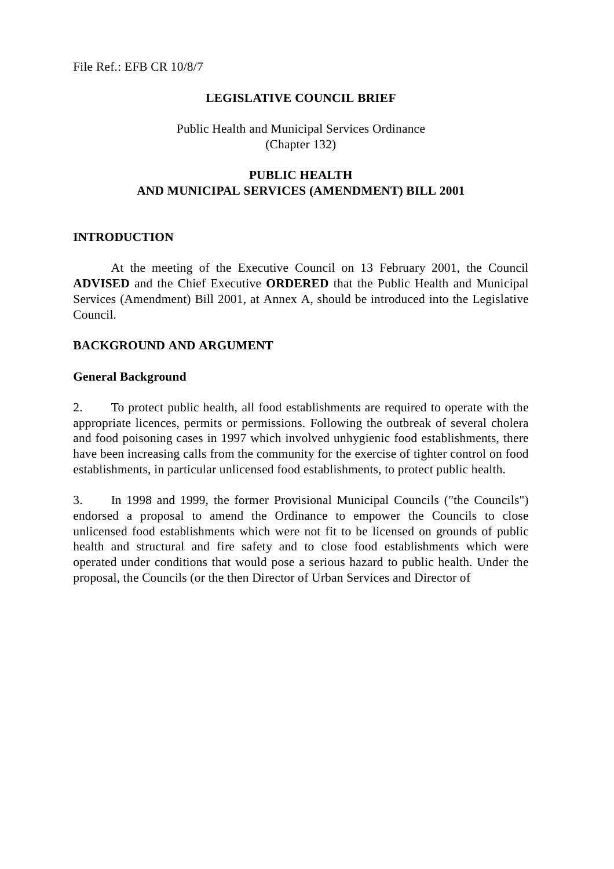#### **LEGISLATIVE COUNCIL BRIEF**

## Public Health and Municipal Services Ordinance (Chapter 132)

## **PUBLIC HEALTH AND MUNICIPAL SERVICES (AMENDMENT) BILL 2001**

#### **INTRODUCTION**

At the meeting of the Executive Council on 13 February 2001, the Council **ADVISED** and the Chief Executive **ORDERED** that the Public Health and Municipal Services (Amendment) Bill 2001, at Annex A, should be introduced into the Legislative Council.

### **BACKGROUND AND ARGUMENT**

#### **General Background**

2. To protect public health, all food establishments are required to operate with the appropriate licences, permits or permissions. Following the outbreak of several cholera and food poisoning cases in 1997 which involved unhygienic food establishments, there have been increasing calls from the community for the exercise of tighter control on food establishments, in particular unlicensed food establishments, to protect public health.

3. In 1998 and 1999, the former Provisional Municipal Councils ("the Councils") endorsed a proposal to amend the Ordinance to empower the Councils to close unlicensed food establishments which were not fit to be licensed on grounds of public health and structural and fire safety and to close food establishments which were operated under conditions that would pose a serious hazard to public health. Under the proposal, the Councils (or the then Director of Urban Services and Director of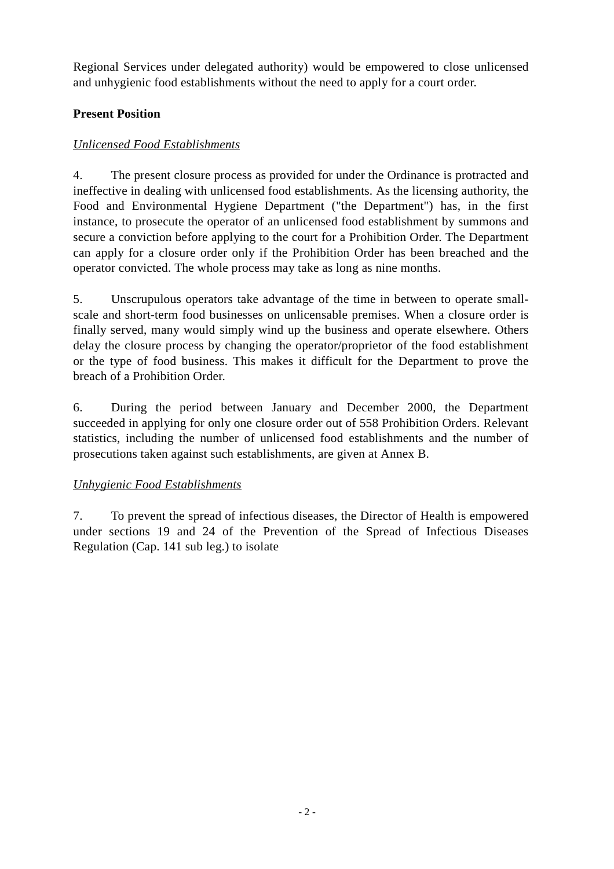Regional Services under delegated authority) would be empowered to close unlicensed and unhygienic food establishments without the need to apply for a court order.

## **Present Position**

## *Unlicensed Food Establishments*

4. The present closure process as provided for under the Ordinance is protracted and ineffective in dealing with unlicensed food establishments. As the licensing authority, the Food and Environmental Hygiene Department ("the Department") has, in the first instance, to prosecute the operator of an unlicensed food establishment by summons and secure a conviction before applying to the court for a Prohibition Order. The Department can apply for a closure order only if the Prohibition Order has been breached and the operator convicted. The whole process may take as long as nine months.

5. Unscrupulous operators take advantage of the time in between to operate smallscale and short-term food businesses on unlicensable premises. When a closure order is finally served, many would simply wind up the business and operate elsewhere. Others delay the closure process by changing the operator/proprietor of the food establishment or the type of food business. This makes it difficult for the Department to prove the breach of a Prohibition Order.

6. During the period between January and December 2000, the Department succeeded in applying for only one closure order out of 558 Prohibition Orders. Relevant statistics, including the number of unlicensed food establishments and the number of prosecutions taken against such establishments, are given at Annex B.

## *Unhygienic Food Establishments*

7. To prevent the spread of infectious diseases, the Director of Health is empowered under sections 19 and 24 of the Prevention of the Spread of Infectious Diseases Regulation (Cap. 141 sub leg.) to isolate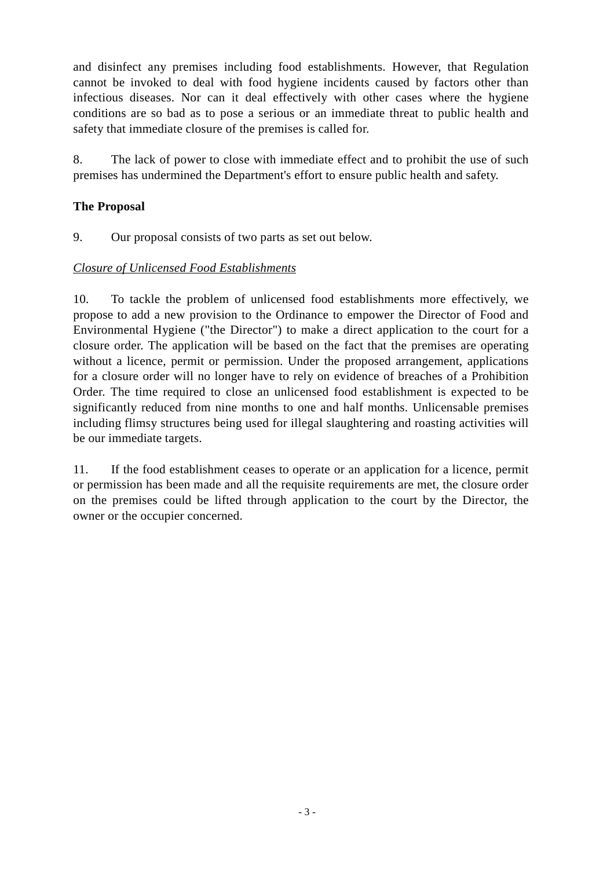and disinfect any premises including food establishments. However, that Regulation cannot be invoked to deal with food hygiene incidents caused by factors other than infectious diseases. Nor can it deal effectively with other cases where the hygiene conditions are so bad as to pose a serious or an immediate threat to public health and safety that immediate closure of the premises is called for.

8. The lack of power to close with immediate effect and to prohibit the use of such premises has undermined the Department's effort to ensure public health and safety.

## **The Proposal**

9. Our proposal consists of two parts as set out below.

## *Closure of Unlicensed Food Establishments*

10. To tackle the problem of unlicensed food establishments more effectively, we propose to add a new provision to the Ordinance to empower the Director of Food and Environmental Hygiene ("the Director") to make a direct application to the court for a closure order. The application will be based on the fact that the premises are operating without a licence, permit or permission. Under the proposed arrangement, applications for a closure order will no longer have to rely on evidence of breaches of a Prohibition Order. The time required to close an unlicensed food establishment is expected to be significantly reduced from nine months to one and half months. Unlicensable premises including flimsy structures being used for illegal slaughtering and roasting activities will be our immediate targets.

11. If the food establishment ceases to operate or an application for a licence, permit or permission has been made and all the requisite requirements are met, the closure order on the premises could be lifted through application to the court by the Director, the owner or the occupier concerned.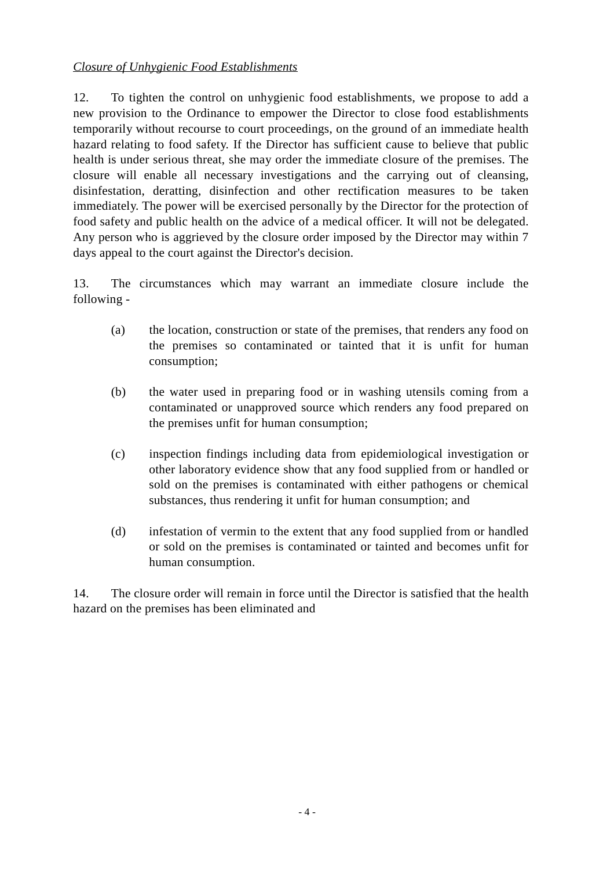## *Closure of Unhygienic Food Establishments*

12. To tighten the control on unhygienic food establishments, we propose to add a new provision to the Ordinance to empower the Director to close food establishments temporarily without recourse to court proceedings, on the ground of an immediate health hazard relating to food safety. If the Director has sufficient cause to believe that public health is under serious threat, she may order the immediate closure of the premises. The closure will enable all necessary investigations and the carrying out of cleansing, disinfestation, deratting, disinfection and other rectification measures to be taken immediately. The power will be exercised personally by the Director for the protection of food safety and public health on the advice of a medical officer. It will not be delegated. Any person who is aggrieved by the closure order imposed by the Director may within 7 days appeal to the court against the Director's decision.

13. The circumstances which may warrant an immediate closure include the following -

- (a) the location, construction or state of the premises, that renders any food on the premises so contaminated or tainted that it is unfit for human consumption;
- (b) the water used in preparing food or in washing utensils coming from a contaminated or unapproved source which renders any food prepared on the premises unfit for human consumption;
- (c) inspection findings including data from epidemiological investigation or other laboratory evidence show that any food supplied from or handled or sold on the premises is contaminated with either pathogens or chemical substances, thus rendering it unfit for human consumption; and
- (d) infestation of vermin to the extent that any food supplied from or handled or sold on the premises is contaminated or tainted and becomes unfit for human consumption.

14. The closure order will remain in force until the Director is satisfied that the health hazard on the premises has been eliminated and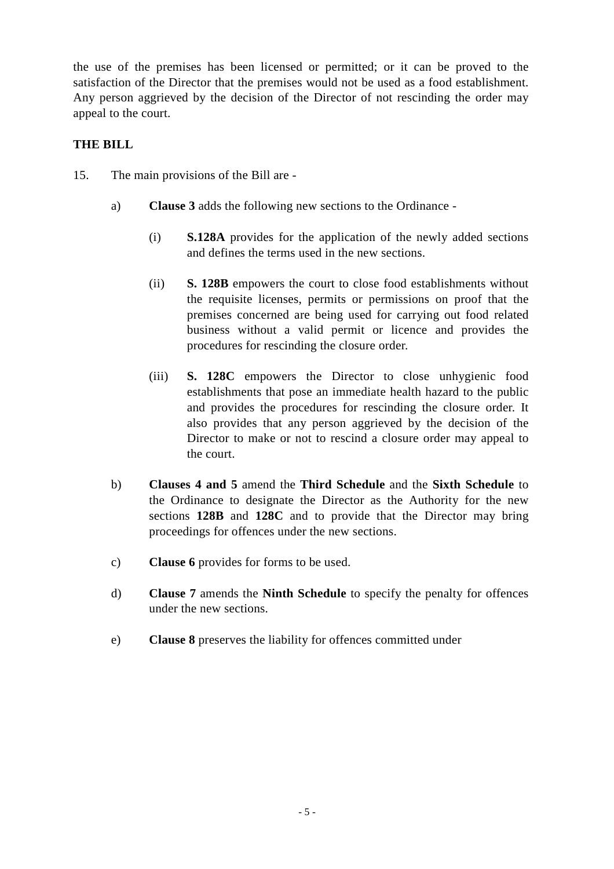the use of the premises has been licensed or permitted; or it can be proved to the satisfaction of the Director that the premises would not be used as a food establishment. Any person aggrieved by the decision of the Director of not rescinding the order may appeal to the court.

## **THE BILL**

- 15. The main provisions of the Bill are
	- a) **Clause 3** adds the following new sections to the Ordinance
		- (i) **S.128A** provides for the application of the newly added sections and defines the terms used in the new sections.
		- (ii) **S. 128B** empowers the court to close food establishments without the requisite licenses, permits or permissions on proof that the premises concerned are being used for carrying out food related business without a valid permit or licence and provides the procedures for rescinding the closure order.
		- (iii) **S. 128C** empowers the Director to close unhygienic food establishments that pose an immediate health hazard to the public and provides the procedures for rescinding the closure order. It also provides that any person aggrieved by the decision of the Director to make or not to rescind a closure order may appeal to the court.
	- b) **Clauses 4 and 5** amend the **Third Schedule** and the **Sixth Schedule** to the Ordinance to designate the Director as the Authority for the new sections **128B** and **128C** and to provide that the Director may bring proceedings for offences under the new sections.
	- c) **Clause 6** provides for forms to be used.
	- d) **Clause 7** amends the **Ninth Schedule** to specify the penalty for offences under the new sections.
	- e) **Clause 8** preserves the liability for offences committed under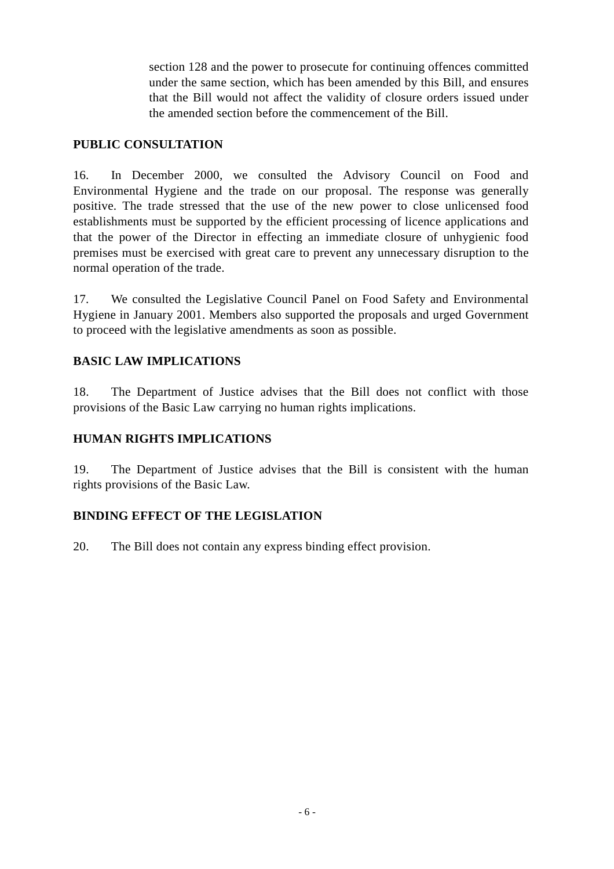section 128 and the power to prosecute for continuing offences committed under the same section, which has been amended by this Bill, and ensures that the Bill would not affect the validity of closure orders issued under the amended section before the commencement of the Bill.

#### **PUBLIC CONSULTATION**

16. In December 2000, we consulted the Advisory Council on Food and Environmental Hygiene and the trade on our proposal. The response was generally positive. The trade stressed that the use of the new power to close unlicensed food establishments must be supported by the efficient processing of licence applications and that the power of the Director in effecting an immediate closure of unhygienic food premises must be exercised with great care to prevent any unnecessary disruption to the normal operation of the trade.

17. We consulted the Legislative Council Panel on Food Safety and Environmental Hygiene in January 2001. Members also supported the proposals and urged Government to proceed with the legislative amendments as soon as possible.

## **BASIC LAW IMPLICATIONS**

18. The Department of Justice advises that the Bill does not conflict with those provisions of the Basic Law carrying no human rights implications.

#### **HUMAN RIGHTS IMPLICATIONS**

19. The Department of Justice advises that the Bill is consistent with the human rights provisions of the Basic Law.

### **BINDING EFFECT OF THE LEGISLATION**

20. The Bill does not contain any express binding effect provision.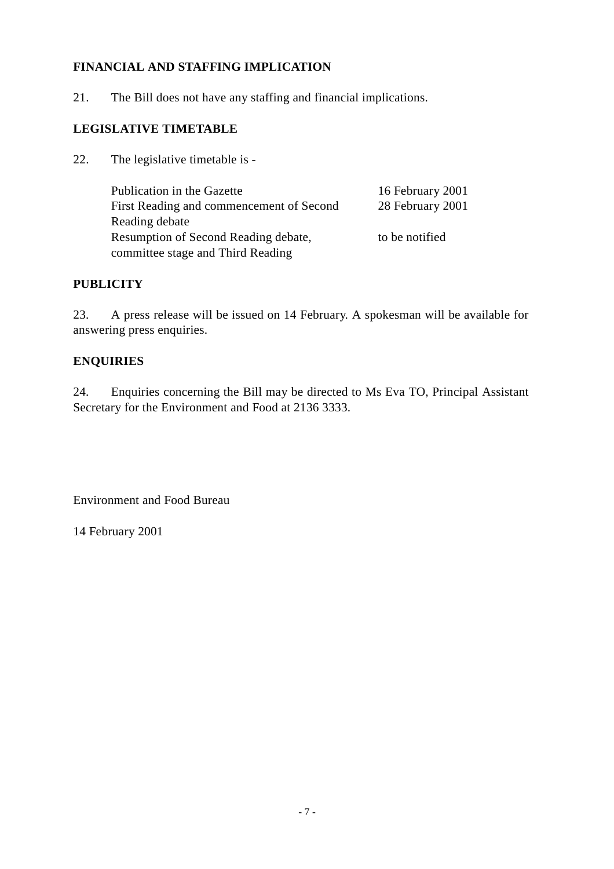## **FINANCIAL AND STAFFING IMPLICATION**

21. The Bill does not have any staffing and financial implications.

## **LEGISLATIVE TIMETABLE**

22. The legislative timetable is -

| Publication in the Gazette                  | 16 February 2001 |
|---------------------------------------------|------------------|
| First Reading and commencement of Second    | 28 February 2001 |
| Reading debate                              |                  |
| <b>Resumption of Second Reading debate,</b> | to be notified   |
| committee stage and Third Reading           |                  |

#### **PUBLICITY**

23. A press release will be issued on 14 February. A spokesman will be available for answering press enquiries.

### **ENQUIRIES**

24. Enquiries concerning the Bill may be directed to Ms Eva TO, Principal Assistant Secretary for the Environment and Food at 2136 3333.

Environment and Food Bureau

14 February 2001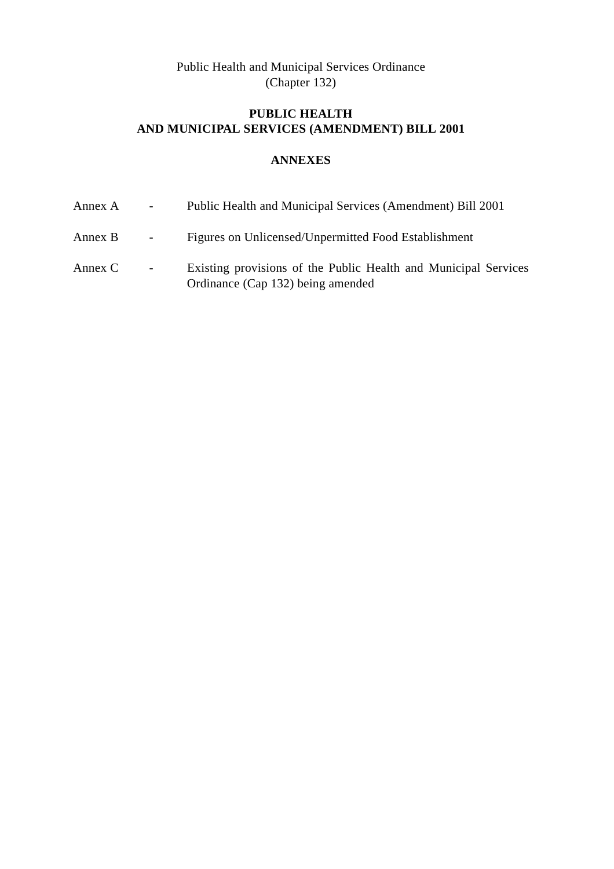Public Health and Municipal Services Ordinance (Chapter 132)

# **PUBLIC HEALTH AND MUNICIPAL SERVICES (AMENDMENT) BILL 2001**

## **ANNEXES**

| Annex A   | $\sim 100$        | Public Health and Municipal Services (Amendment) Bill 2001                                           |
|-----------|-------------------|------------------------------------------------------------------------------------------------------|
| Annex B   | $\sim 100$        | Figures on Unlicensed/Unpermitted Food Establishment                                                 |
| Annex $C$ | $\Delta \sim 100$ | Existing provisions of the Public Health and Municipal Services<br>Ordinance (Cap 132) being amended |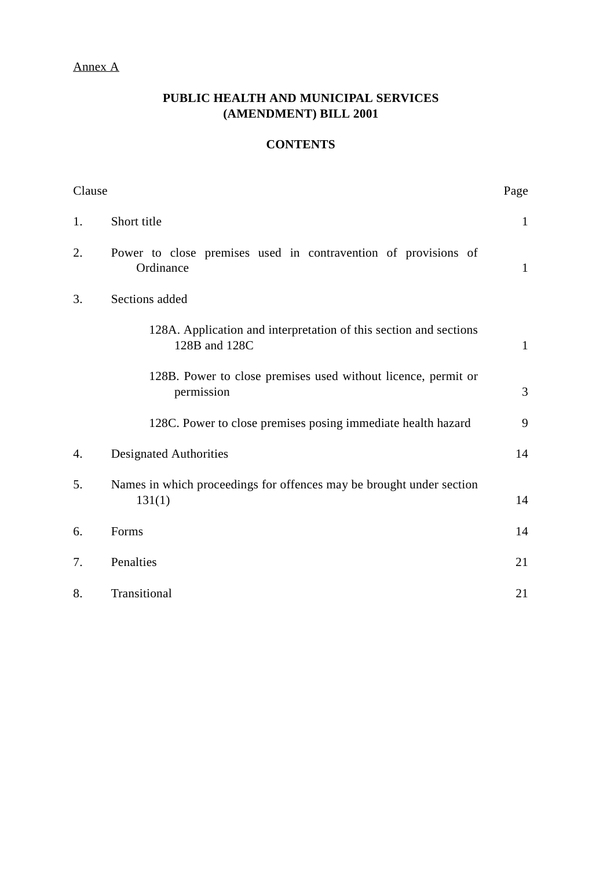#### Annex A

## **PUBLIC HEALTH AND MUNICIPAL SERVICES (AMENDMENT) BILL 2001**

## **CONTENTS**

| Clause |                                                                                    | Page         |
|--------|------------------------------------------------------------------------------------|--------------|
| 1.     | Short title                                                                        | $\mathbf{1}$ |
| 2.     | Power to close premises used in contravention of provisions of<br>Ordinance        | $\mathbf{1}$ |
| 3.     | Sections added                                                                     |              |
|        | 128A. Application and interpretation of this section and sections<br>128B and 128C | $\mathbf{1}$ |
|        | 128B. Power to close premises used without licence, permit or<br>permission        | 3            |
|        | 128C. Power to close premises posing immediate health hazard                       | 9            |
| 4.     | <b>Designated Authorities</b>                                                      | 14           |
| 5.     | Names in which proceedings for offences may be brought under section<br>131(1)     | 14           |
| 6.     | Forms                                                                              | 14           |
| 7.     | Penalties                                                                          | 21           |
| 8.     | Transitional                                                                       | 21           |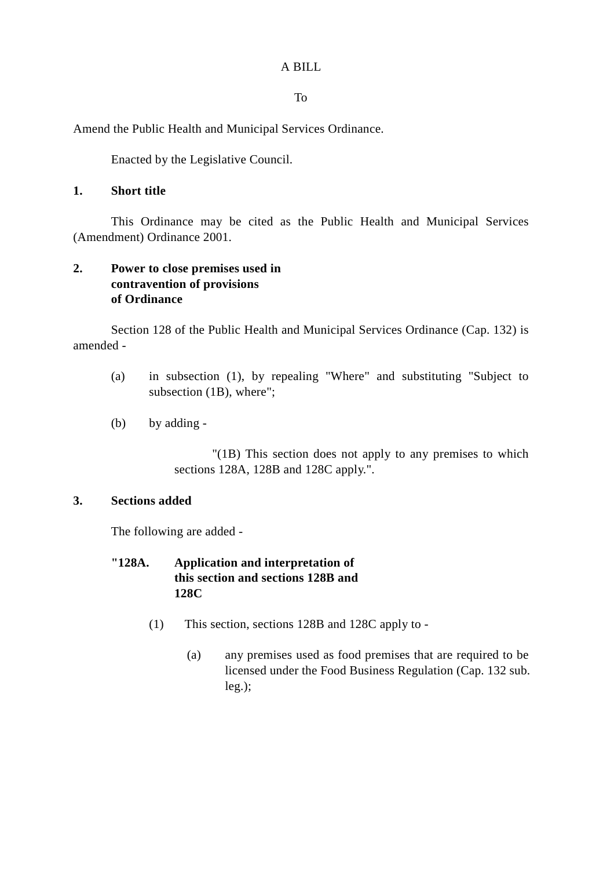A BILL

To

Amend the Public Health and Municipal Services Ordinance.

Enacted by the Legislative Council.

### **1. Short title**

This Ordinance may be cited as the Public Health and Municipal Services (Amendment) Ordinance 2001.

## **2. Power to close premises used in contravention of provisions of Ordinance**

Section 128 of the Public Health and Municipal Services Ordinance (Cap. 132) is amended -

- (a) in subsection (1), by repealing "Where" and substituting "Subject to subsection (1B), where";
- (b) by adding -

"(1B) This section does not apply to any premises to which sections 128A, 128B and 128C apply.".

### **3. Sections added**

The following are added -

## **"128A. Application and interpretation of this section and sections 128B and 128C**

- (1) This section, sections 128B and 128C apply to
	- (a) any premises used as food premises that are required to be licensed under the Food Business Regulation (Cap. 132 sub. leg.);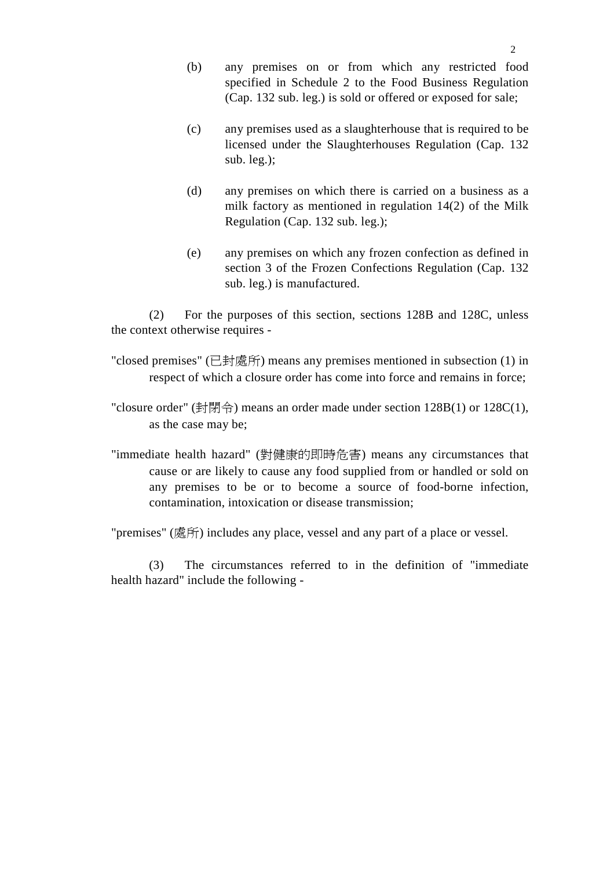- (b) any premises on or from which any restricted food specified in Schedule 2 to the Food Business Regulation (Cap. 132 sub. leg.) is sold or offered or exposed for sale;
- (c) any premises used as a slaughterhouse that is required to be licensed under the Slaughterhouses Regulation (Cap. 132 sub. leg.);
- (d) any premises on which there is carried on a business as a milk factory as mentioned in regulation 14(2) of the Milk Regulation (Cap. 132 sub. leg.);
- (e) any premises on which any frozen confection as defined in section 3 of the Frozen Confections Regulation (Cap. 132 sub. leg.) is manufactured.

(2) For the purposes of this section, sections 128B and 128C, unless the context otherwise requires -

"closed premises" (已封處所) means any premises mentioned in subsection (1) in respect of which a closure order has come into force and remains in force;

"closure order" (封閉令) means an order made under section 128B(1) or 128C(1), as the case may be;

"immediate health hazard" (對健康的即時危害) means any circumstances that cause or are likely to cause any food supplied from or handled or sold on any premises to be or to become a source of food-borne infection, contamination, intoxication or disease transmission;

"premises" (處所) includes any place, vessel and any part of a place or vessel.

(3) The circumstances referred to in the definition of "immediate health hazard" include the following -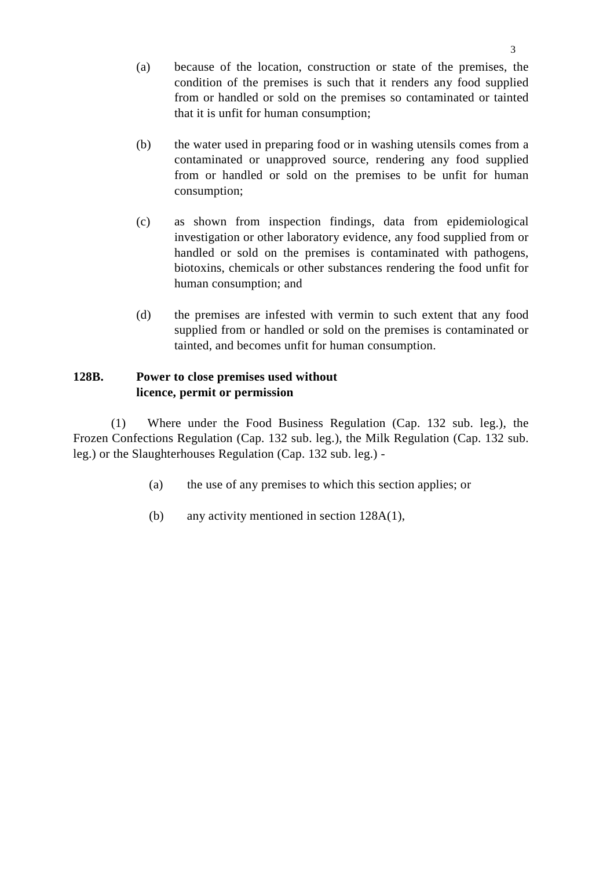- (a) because of the location, construction or state of the premises, the condition of the premises is such that it renders any food supplied from or handled or sold on the premises so contaminated or tainted that it is unfit for human consumption;
- (b) the water used in preparing food or in washing utensils comes from a contaminated or unapproved source, rendering any food supplied from or handled or sold on the premises to be unfit for human consumption;
- (c) as shown from inspection findings, data from epidemiological investigation or other laboratory evidence, any food supplied from or handled or sold on the premises is contaminated with pathogens, biotoxins, chemicals or other substances rendering the food unfit for human consumption; and
- (d) the premises are infested with vermin to such extent that any food supplied from or handled or sold on the premises is contaminated or tainted, and becomes unfit for human consumption.

## **128B. Power to close premises used without licence, permit or permission**

(1) Where under the Food Business Regulation (Cap. 132 sub. leg.), the Frozen Confections Regulation (Cap. 132 sub. leg.), the Milk Regulation (Cap. 132 sub. leg.) or the Slaughterhouses Regulation (Cap. 132 sub. leg.) -

- (a) the use of any premises to which this section applies; or
- (b) any activity mentioned in section 128A(1),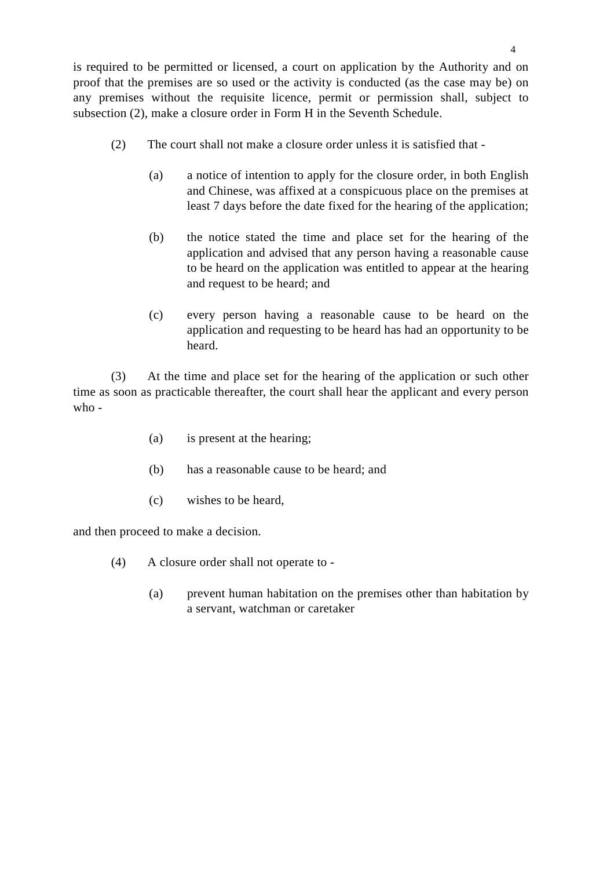is required to be permitted or licensed, a court on application by the Authority and on proof that the premises are so used or the activity is conducted (as the case may be) on any premises without the requisite licence, permit or permission shall, subject to subsection (2), make a closure order in Form H in the Seventh Schedule.

- (2) The court shall not make a closure order unless it is satisfied that
	- (a) a notice of intention to apply for the closure order, in both English and Chinese, was affixed at a conspicuous place on the premises at least 7 days before the date fixed for the hearing of the application;
	- (b) the notice stated the time and place set for the hearing of the application and advised that any person having a reasonable cause to be heard on the application was entitled to appear at the hearing and request to be heard; and
	- (c) every person having a reasonable cause to be heard on the application and requesting to be heard has had an opportunity to be heard.

(3) At the time and place set for the hearing of the application or such other time as soon as practicable thereafter, the court shall hear the applicant and every person who -

- (a) is present at the hearing;
- (b) has a reasonable cause to be heard; and
- (c) wishes to be heard,

and then proceed to make a decision.

- (4) A closure order shall not operate to
	- (a) prevent human habitation on the premises other than habitation by a servant, watchman or caretaker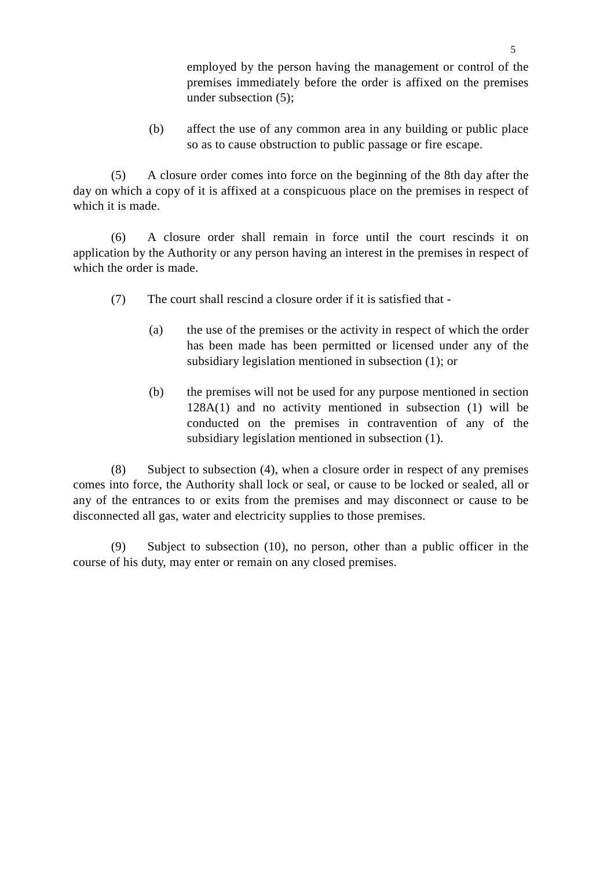employed by the person having the management or control of the premises immediately before the order is affixed on the premises under subsection (5);

(b) affect the use of any common area in any building or public place so as to cause obstruction to public passage or fire escape.

(5) A closure order comes into force on the beginning of the 8th day after the day on which a copy of it is affixed at a conspicuous place on the premises in respect of which it is made.

(6) A closure order shall remain in force until the court rescinds it on application by the Authority or any person having an interest in the premises in respect of which the order is made.

- (7) The court shall rescind a closure order if it is satisfied that
	- (a) the use of the premises or the activity in respect of which the order has been made has been permitted or licensed under any of the subsidiary legislation mentioned in subsection (1); or
	- (b) the premises will not be used for any purpose mentioned in section 128A(1) and no activity mentioned in subsection (1) will be conducted on the premises in contravention of any of the subsidiary legislation mentioned in subsection (1).

(8) Subject to subsection (4), when a closure order in respect of any premises comes into force, the Authority shall lock or seal, or cause to be locked or sealed, all or any of the entrances to or exits from the premises and may disconnect or cause to be disconnected all gas, water and electricity supplies to those premises.

(9) Subject to subsection (10), no person, other than a public officer in the course of his duty, may enter or remain on any closed premises.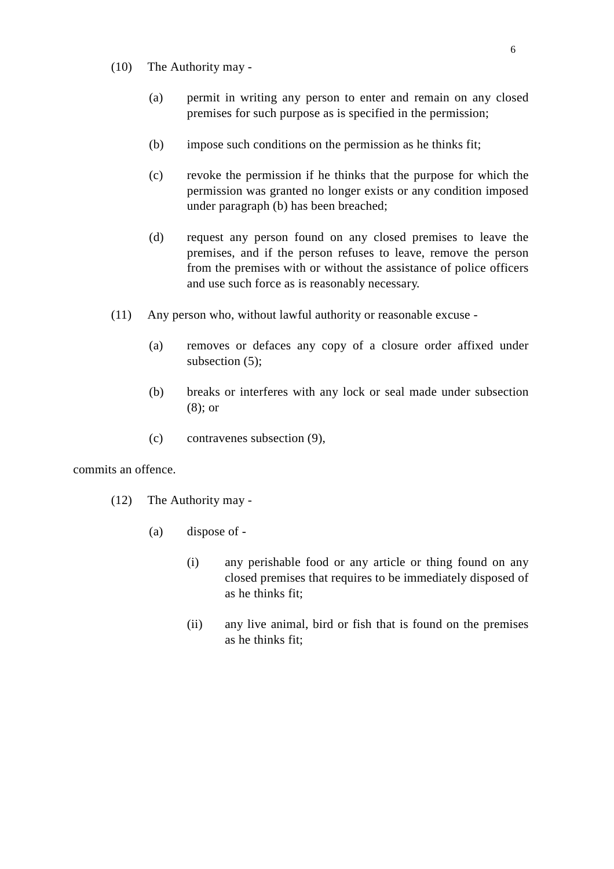- (10) The Authority may
	- (a) permit in writing any person to enter and remain on any closed premises for such purpose as is specified in the permission;
	- (b) impose such conditions on the permission as he thinks fit;
	- (c) revoke the permission if he thinks that the purpose for which the permission was granted no longer exists or any condition imposed under paragraph (b) has been breached;
	- (d) request any person found on any closed premises to leave the premises, and if the person refuses to leave, remove the person from the premises with or without the assistance of police officers and use such force as is reasonably necessary.
- (11) Any person who, without lawful authority or reasonable excuse
	- (a) removes or defaces any copy of a closure order affixed under subsection (5);
	- (b) breaks or interferes with any lock or seal made under subsection (8); or
	- (c) contravenes subsection (9),

commits an offence.

- (12) The Authority may
	- (a) dispose of
		- (i) any perishable food or any article or thing found on any closed premises that requires to be immediately disposed of as he thinks fit;
		- (ii) any live animal, bird or fish that is found on the premises as he thinks fit;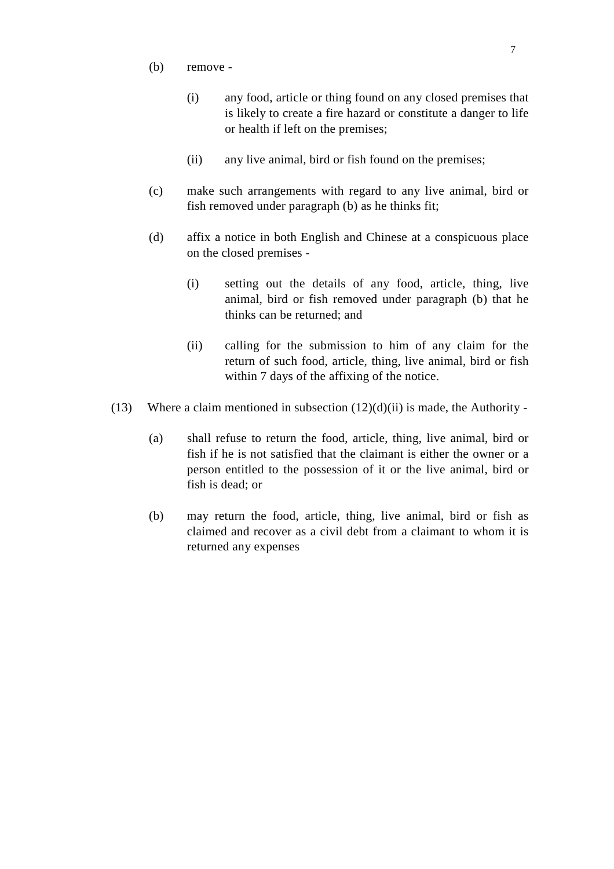- (b) remove
	- (i) any food, article or thing found on any closed premises that is likely to create a fire hazard or constitute a danger to life or health if left on the premises;
	- (ii) any live animal, bird or fish found on the premises;
- (c) make such arrangements with regard to any live animal, bird or fish removed under paragraph (b) as he thinks fit;
- (d) affix a notice in both English and Chinese at a conspicuous place on the closed premises -
	- (i) setting out the details of any food, article, thing, live animal, bird or fish removed under paragraph (b) that he thinks can be returned; and
	- (ii) calling for the submission to him of any claim for the return of such food, article, thing, live animal, bird or fish within 7 days of the affixing of the notice.
- (13) Where a claim mentioned in subsection  $(12)(d)(ii)$  is made, the Authority -
	- (a) shall refuse to return the food, article, thing, live animal, bird or fish if he is not satisfied that the claimant is either the owner or a person entitled to the possession of it or the live animal, bird or fish is dead; or
	- (b) may return the food, article, thing, live animal, bird or fish as claimed and recover as a civil debt from a claimant to whom it is returned any expenses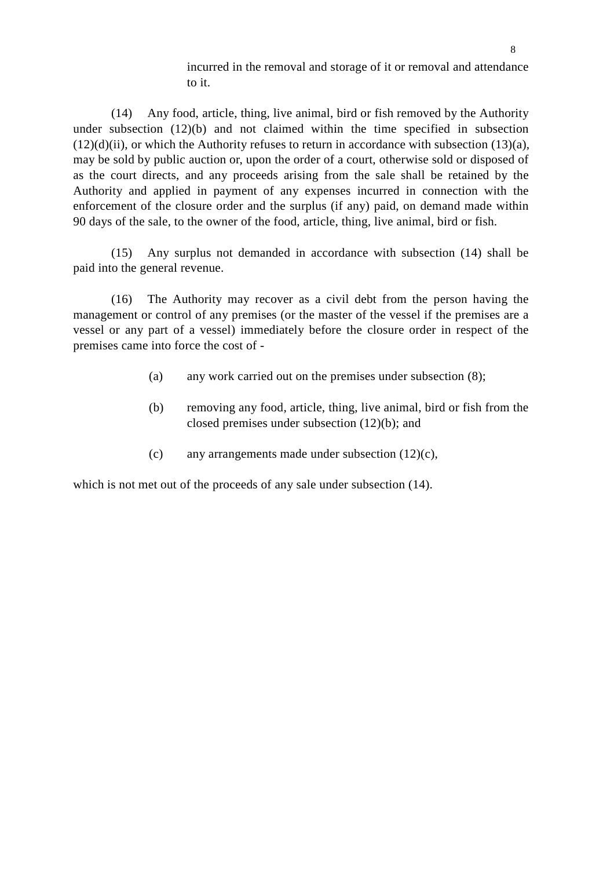incurred in the removal and storage of it or removal and attendance to it.

(14) Any food, article, thing, live animal, bird or fish removed by the Authority under subsection (12)(b) and not claimed within the time specified in subsection  $(12)(d)(ii)$ , or which the Authority refuses to return in accordance with subsection  $(13)(a)$ , may be sold by public auction or, upon the order of a court, otherwise sold or disposed of as the court directs, and any proceeds arising from the sale shall be retained by the Authority and applied in payment of any expenses incurred in connection with the enforcement of the closure order and the surplus (if any) paid, on demand made within 90 days of the sale, to the owner of the food, article, thing, live animal, bird or fish.

(15) Any surplus not demanded in accordance with subsection (14) shall be paid into the general revenue.

(16) The Authority may recover as a civil debt from the person having the management or control of any premises (or the master of the vessel if the premises are a vessel or any part of a vessel) immediately before the closure order in respect of the premises came into force the cost of -

- (a) any work carried out on the premises under subsection (8);
- (b) removing any food, article, thing, live animal, bird or fish from the closed premises under subsection (12)(b); and
- (c) any arrangements made under subsection (12)(c),

which is not met out of the proceeds of any sale under subsection (14).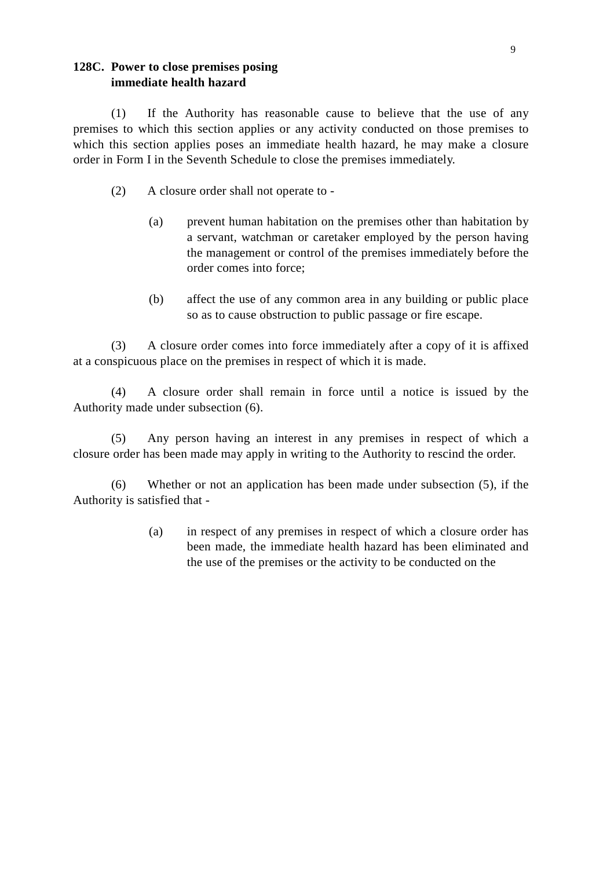#### **128C. Power to close premises posing immediate health hazard**

(1) If the Authority has reasonable cause to believe that the use of any premises to which this section applies or any activity conducted on those premises to which this section applies poses an immediate health hazard, he may make a closure order in Form I in the Seventh Schedule to close the premises immediately.

- (2) A closure order shall not operate to
	- (a) prevent human habitation on the premises other than habitation by a servant, watchman or caretaker employed by the person having the management or control of the premises immediately before the order comes into force;
	- (b) affect the use of any common area in any building or public place so as to cause obstruction to public passage or fire escape.

(3) A closure order comes into force immediately after a copy of it is affixed at a conspicuous place on the premises in respect of which it is made.

(4) A closure order shall remain in force until a notice is issued by the Authority made under subsection (6).

(5) Any person having an interest in any premises in respect of which a closure order has been made may apply in writing to the Authority to rescind the order.

(6) Whether or not an application has been made under subsection (5), if the Authority is satisfied that -

> (a) in respect of any premises in respect of which a closure order has been made, the immediate health hazard has been eliminated and the use of the premises or the activity to be conducted on the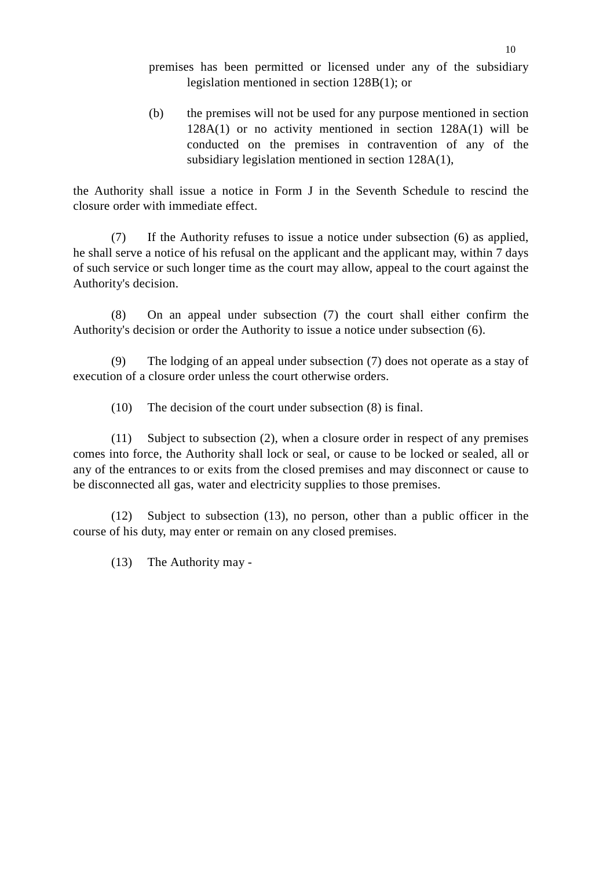premises has been permitted or licensed under any of the subsidiary legislation mentioned in section 128B(1); or

(b) the premises will not be used for any purpose mentioned in section 128A(1) or no activity mentioned in section 128A(1) will be conducted on the premises in contravention of any of the subsidiary legislation mentioned in section 128A(1),

the Authority shall issue a notice in Form J in the Seventh Schedule to rescind the closure order with immediate effect.

(7) If the Authority refuses to issue a notice under subsection (6) as applied, he shall serve a notice of his refusal on the applicant and the applicant may, within 7 days of such service or such longer time as the court may allow, appeal to the court against the Authority's decision.

(8) On an appeal under subsection (7) the court shall either confirm the Authority's decision or order the Authority to issue a notice under subsection (6).

(9) The lodging of an appeal under subsection (7) does not operate as a stay of execution of a closure order unless the court otherwise orders.

(10) The decision of the court under subsection (8) is final.

(11) Subject to subsection (2), when a closure order in respect of any premises comes into force, the Authority shall lock or seal, or cause to be locked or sealed, all or any of the entrances to or exits from the closed premises and may disconnect or cause to be disconnected all gas, water and electricity supplies to those premises.

(12) Subject to subsection (13), no person, other than a public officer in the course of his duty, may enter or remain on any closed premises.

(13) The Authority may -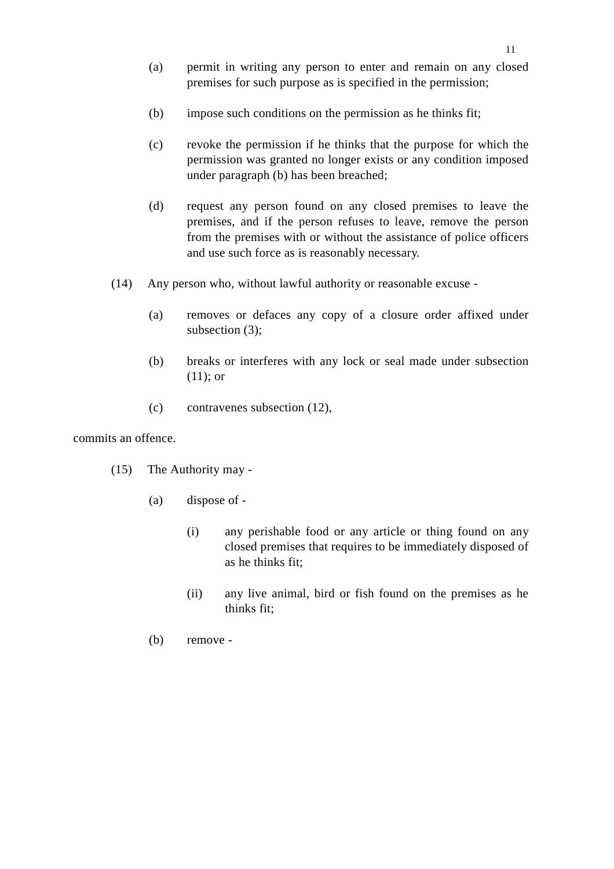- (a) permit in writing any person to enter and remain on any closed premises for such purpose as is specified in the permission;
- (b) impose such conditions on the permission as he thinks fit;
- (c) revoke the permission if he thinks that the purpose for which the permission was granted no longer exists or any condition imposed under paragraph (b) has been breached;
- (d) request any person found on any closed premises to leave the premises, and if the person refuses to leave, remove the person from the premises with or without the assistance of police officers and use such force as is reasonably necessary.
- (14) Any person who, without lawful authority or reasonable excuse
	- (a) removes or defaces any copy of a closure order affixed under subsection (3);
	- (b) breaks or interferes with any lock or seal made under subsection (11); or
	- (c) contravenes subsection (12),

commits an offence.

- (15) The Authority may
	- (a) dispose of
		- (i) any perishable food or any article or thing found on any closed premises that requires to be immediately disposed of as he thinks fit;
		- (ii) any live animal, bird or fish found on the premises as he thinks fit;
	- (b) remove -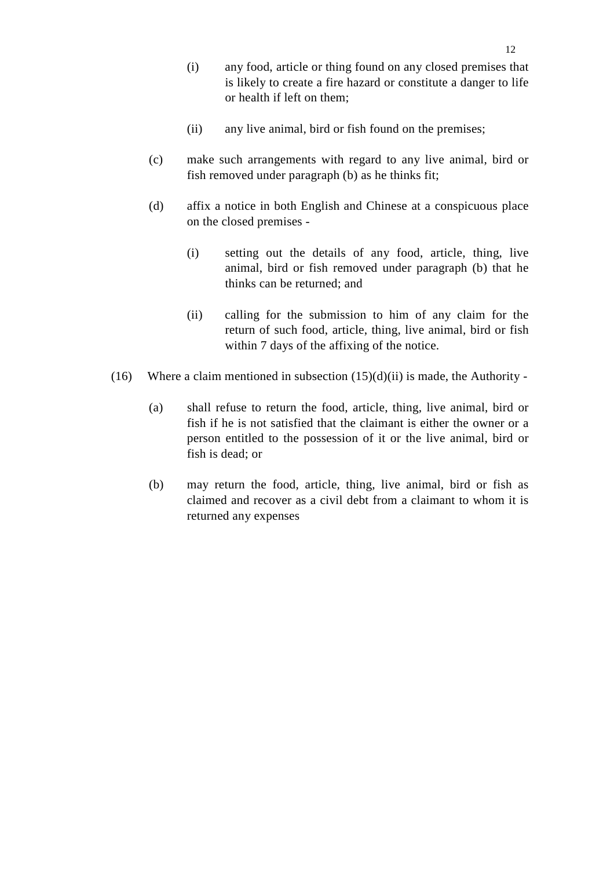- (i) any food, article or thing found on any closed premises that is likely to create a fire hazard or constitute a danger to life or health if left on them;
- (ii) any live animal, bird or fish found on the premises;
- (c) make such arrangements with regard to any live animal, bird or fish removed under paragraph (b) as he thinks fit;
- (d) affix a notice in both English and Chinese at a conspicuous place on the closed premises -
	- (i) setting out the details of any food, article, thing, live animal, bird or fish removed under paragraph (b) that he thinks can be returned; and
	- (ii) calling for the submission to him of any claim for the return of such food, article, thing, live animal, bird or fish within 7 days of the affixing of the notice.
- (16) Where a claim mentioned in subsection  $(15)(d)(ii)$  is made, the Authority -
	- (a) shall refuse to return the food, article, thing, live animal, bird or fish if he is not satisfied that the claimant is either the owner or a person entitled to the possession of it or the live animal, bird or fish is dead; or
	- (b) may return the food, article, thing, live animal, bird or fish as claimed and recover as a civil debt from a claimant to whom it is returned any expenses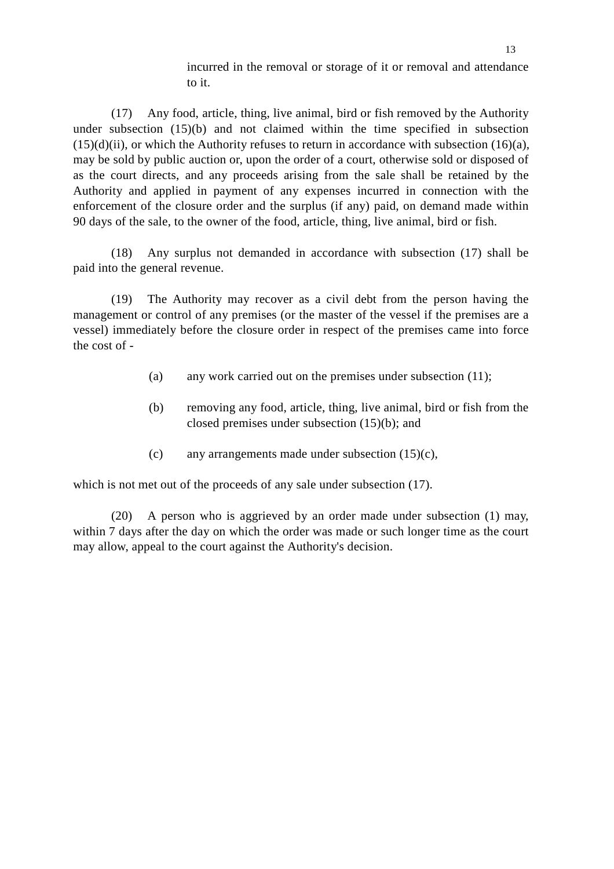incurred in the removal or storage of it or removal and attendance to it.

(17) Any food, article, thing, live animal, bird or fish removed by the Authority under subsection (15)(b) and not claimed within the time specified in subsection  $(15)(d)(ii)$ , or which the Authority refuses to return in accordance with subsection  $(16)(a)$ , may be sold by public auction or, upon the order of a court, otherwise sold or disposed of as the court directs, and any proceeds arising from the sale shall be retained by the Authority and applied in payment of any expenses incurred in connection with the enforcement of the closure order and the surplus (if any) paid, on demand made within 90 days of the sale, to the owner of the food, article, thing, live animal, bird or fish.

(18) Any surplus not demanded in accordance with subsection (17) shall be paid into the general revenue.

(19) The Authority may recover as a civil debt from the person having the management or control of any premises (or the master of the vessel if the premises are a vessel) immediately before the closure order in respect of the premises came into force the cost of -

- (a) any work carried out on the premises under subsection (11);
- (b) removing any food, article, thing, live animal, bird or fish from the closed premises under subsection (15)(b); and
- (c) any arrangements made under subsection (15)(c),

which is not met out of the proceeds of any sale under subsection  $(17)$ .

(20) A person who is aggrieved by an order made under subsection (1) may, within 7 days after the day on which the order was made or such longer time as the court may allow, appeal to the court against the Authority's decision.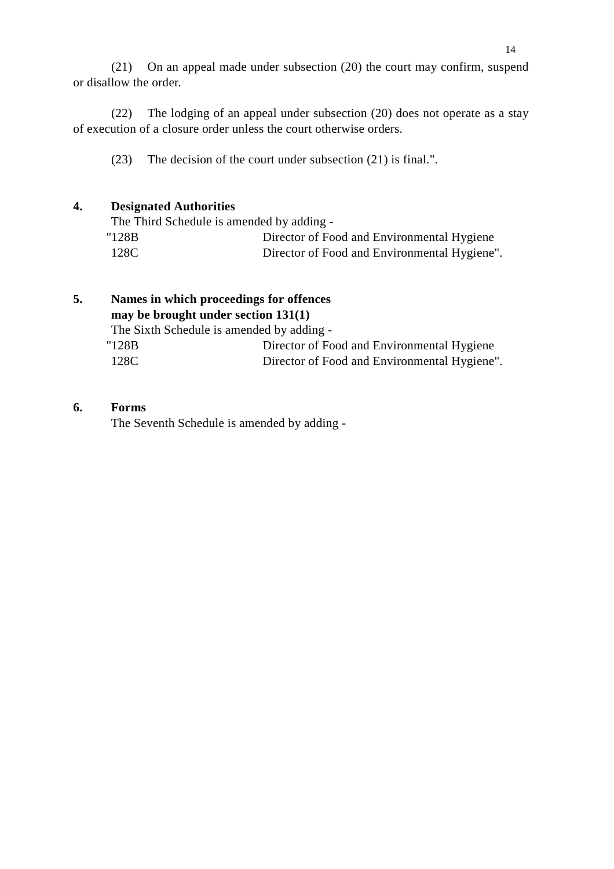(21) On an appeal made under subsection (20) the court may confirm, suspend or disallow the order.

(22) The lodging of an appeal under subsection (20) does not operate as a stay of execution of a closure order unless the court otherwise orders.

(23) The decision of the court under subsection (21) is final.".

#### **4. Designated Authorities**

| The Third Schedule is amended by adding - |                                              |
|-------------------------------------------|----------------------------------------------|
| "128B                                     | Director of Food and Environmental Hygiene   |
| 128C                                      | Director of Food and Environmental Hygiene". |

## **5. Names in which proceedings for offences may be brought under section 131(1)** The Sixth Schedule is amended by adding - "128B Director of Food and Environmental Hygiene 128C Director of Food and Environmental Hygiene".

#### **6. Forms**

The Seventh Schedule is amended by adding -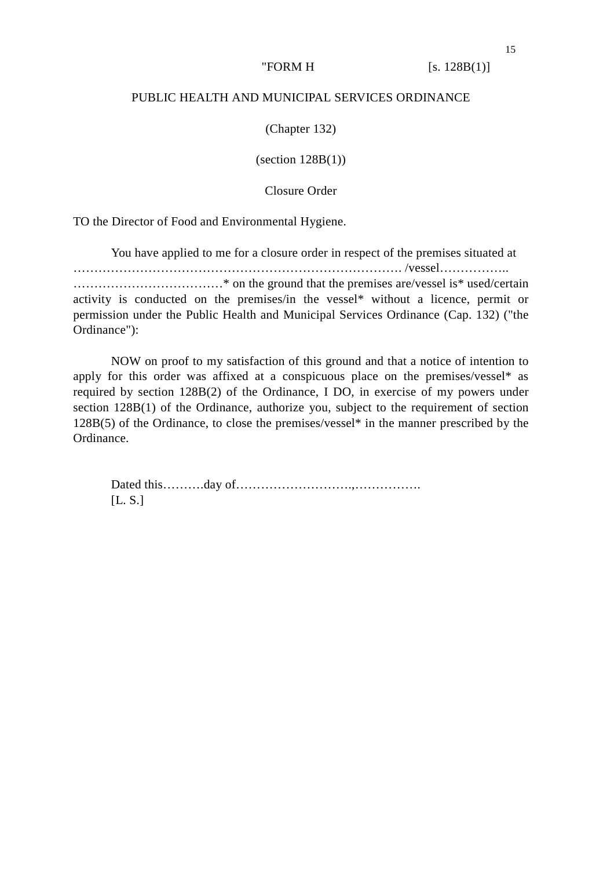"FORM H  $[s. 128B(1)]$ 

#### PUBLIC HEALTH AND MUNICIPAL SERVICES ORDINANCE

(Chapter 132)

 $\left( \text{section } 128B(1) \right)$ 

Closure Order

TO the Director of Food and Environmental Hygiene.

You have applied to me for a closure order in respect of the premises situated at ……………………………………………………………………. /vessel…………….. ………………………………\* on the ground that the premises are/vessel is\* used/certain activity is conducted on the premises/in the vessel\* without a licence, permit or permission under the Public Health and Municipal Services Ordinance (Cap. 132) ("the Ordinance"):

NOW on proof to my satisfaction of this ground and that a notice of intention to apply for this order was affixed at a conspicuous place on the premises/vessel\* as required by section 128B(2) of the Ordinance, I DO, in exercise of my powers under section 128B(1) of the Ordinance, authorize you, subject to the requirement of section 128B(5) of the Ordinance, to close the premises/vessel\* in the manner prescribed by the Ordinance.

Dated this……….day of……………………….,……………. [L. S.]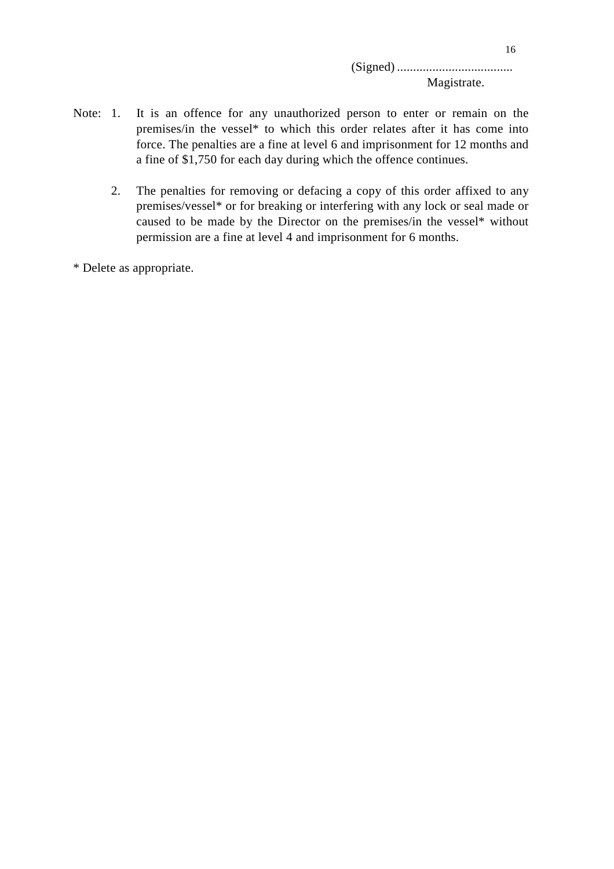(Signed) .................................... Magistrate.

- Note: 1. It is an offence for any unauthorized person to enter or remain on the premises/in the vessel\* to which this order relates after it has come into force. The penalties are a fine at level 6 and imprisonment for 12 months and a fine of \$1,750 for each day during which the offence continues.
	- 2. The penalties for removing or defacing a copy of this order affixed to any premises/vessel\* or for breaking or interfering with any lock or seal made or caused to be made by the Director on the premises/in the vessel\* without permission are a fine at level 4 and imprisonment for 6 months.

\* Delete as appropriate.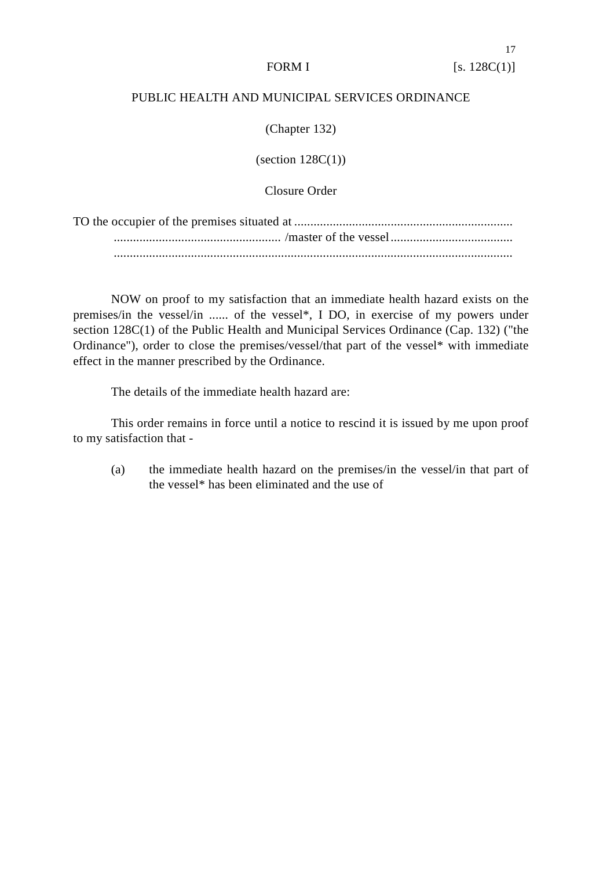### PUBLIC HEALTH AND MUNICIPAL SERVICES ORDINANCE

(Chapter 132)

(section  $128C(1)$ )

Closure Order

NOW on proof to my satisfaction that an immediate health hazard exists on the premises/in the vessel/in ...... of the vessel\*, I DO, in exercise of my powers under section 128C(1) of the Public Health and Municipal Services Ordinance (Cap. 132) ("the Ordinance"), order to close the premises/vessel/that part of the vessel\* with immediate effect in the manner prescribed by the Ordinance.

The details of the immediate health hazard are:

This order remains in force until a notice to rescind it is issued by me upon proof to my satisfaction that -

(a) the immediate health hazard on the premises/in the vessel/in that part of the vessel\* has been eliminated and the use of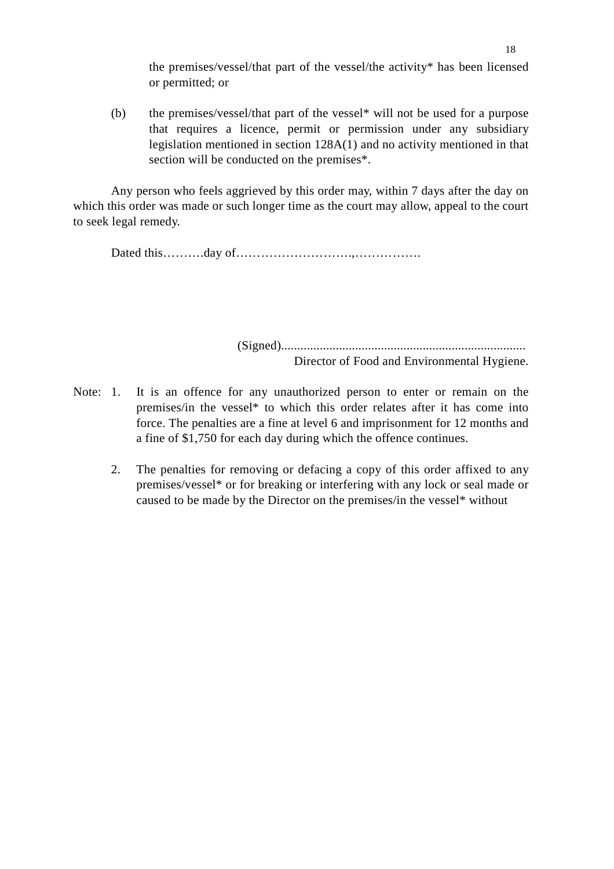the premises/vessel/that part of the vessel/the activity\* has been licensed or permitted; or

(b) the premises/vessel/that part of the vessel\* will not be used for a purpose that requires a licence, permit or permission under any subsidiary legislation mentioned in section 128A(1) and no activity mentioned in that section will be conducted on the premises\*.

Any person who feels aggrieved by this order may, within 7 days after the day on which this order was made or such longer time as the court may allow, appeal to the court to seek legal remedy.

Dated this……….day of……………………….,…………….

(Signed)............................................................................ Director of Food and Environmental Hygiene.

- Note: 1. It is an offence for any unauthorized person to enter or remain on the premises/in the vessel\* to which this order relates after it has come into force. The penalties are a fine at level 6 and imprisonment for 12 months and a fine of \$1,750 for each day during which the offence continues.
	- 2. The penalties for removing or defacing a copy of this order affixed to any premises/vessel\* or for breaking or interfering with any lock or seal made or caused to be made by the Director on the premises/in the vessel\* without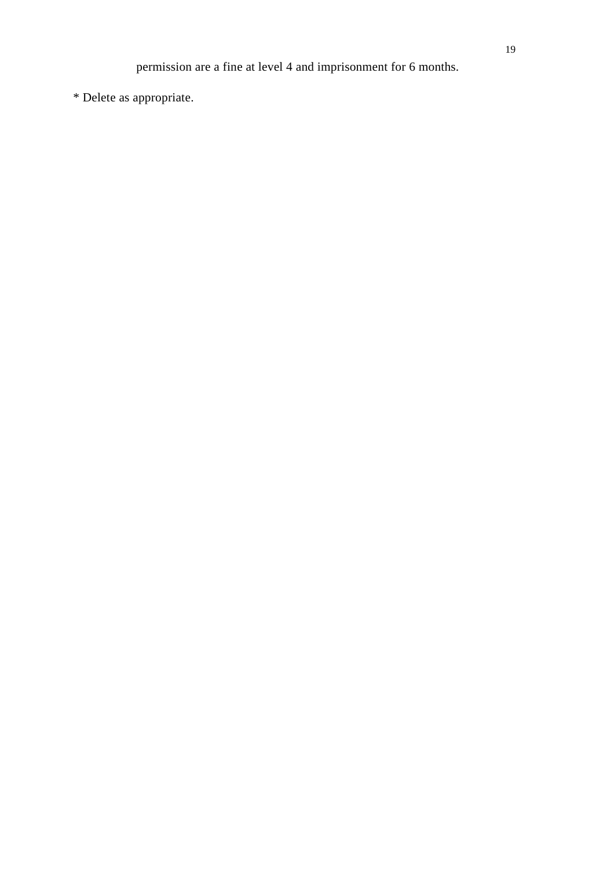permission are a fine at level 4 and imprisonment for 6 months.

\* Delete as appropriate.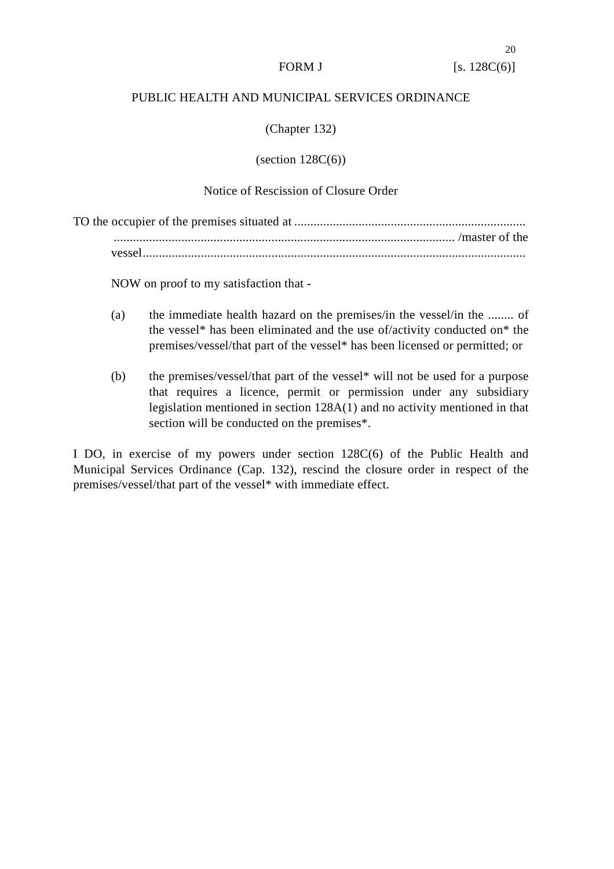#### PUBLIC HEALTH AND MUNICIPAL SERVICES ORDINANCE

(Chapter 132)

 $\left( \text{section } 128C(6) \right)$ 

### Notice of Rescission of Closure Order

NOW on proof to my satisfaction that -

- (a) the immediate health hazard on the premises/in the vessel/in the ........ of the vessel\* has been eliminated and the use of/activity conducted on\* the premises/vessel/that part of the vessel\* has been licensed or permitted; or
- (b) the premises/vessel/that part of the vessel\* will not be used for a purpose that requires a licence, permit or permission under any subsidiary legislation mentioned in section 128A(1) and no activity mentioned in that section will be conducted on the premises\*.

I DO, in exercise of my powers under section 128C(6) of the Public Health and Municipal Services Ordinance (Cap. 132), rescind the closure order in respect of the premises/vessel/that part of the vessel\* with immediate effect.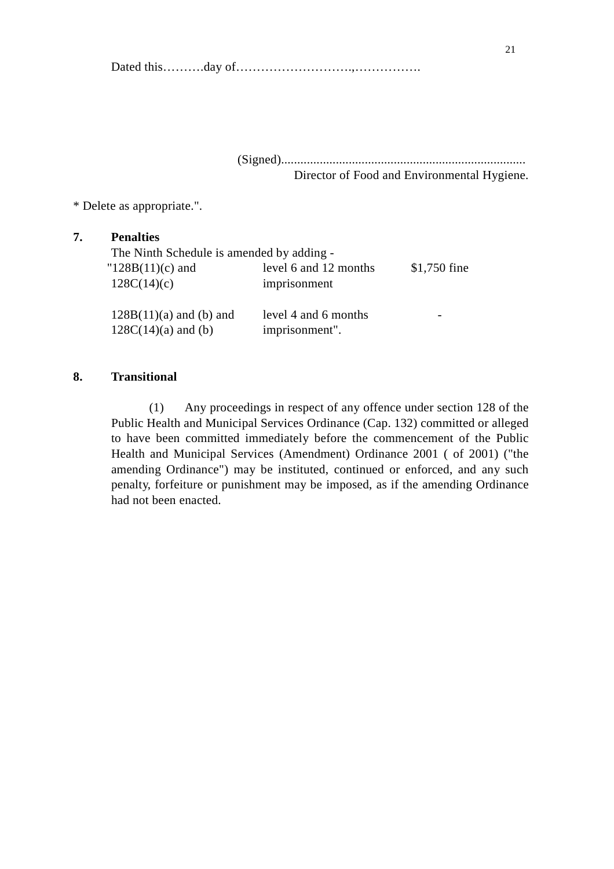Dated this……….day of……………………….,…………….

(Signed)............................................................................ Director of Food and Environmental Hygiene.

\* Delete as appropriate.".

# **7. Penalties** The Ninth Schedule is amended by adding -  $"128B(11)(c)$  and level 6 and 12 months \$1,750 fine 128C(14)(c) imprisonment  $128B(11)(a)$  and (b) and level 4 and 6 months - $128C(14)(a)$  and (b) imprisonment".

#### **8. Transitional**

(1) Any proceedings in respect of any offence under section 128 of the Public Health and Municipal Services Ordinance (Cap. 132) committed or alleged to have been committed immediately before the commencement of the Public Health and Municipal Services (Amendment) Ordinance 2001 ( of 2001) ("the amending Ordinance") may be instituted, continued or enforced, and any such penalty, forfeiture or punishment may be imposed, as if the amending Ordinance had not been enacted.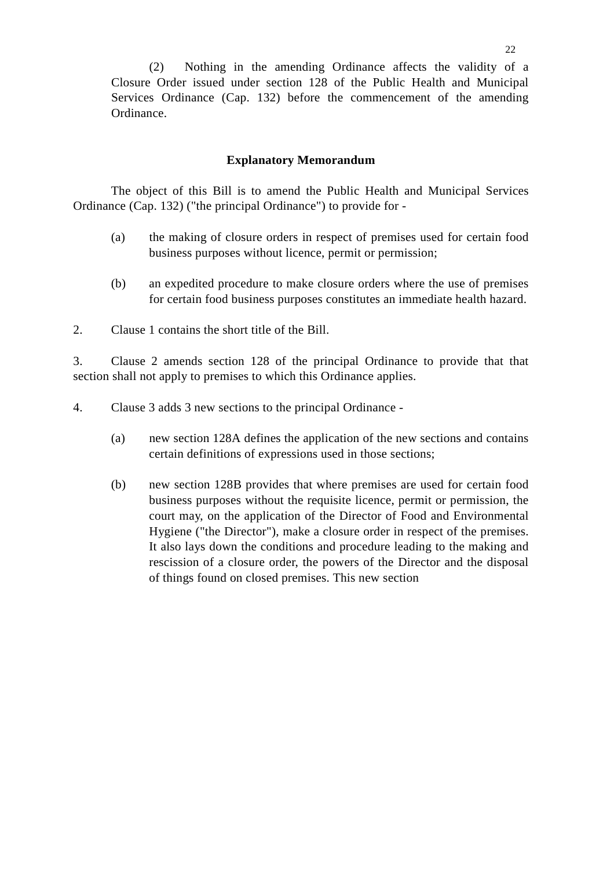(2) Nothing in the amending Ordinance affects the validity of a Closure Order issued under section 128 of the Public Health and Municipal Services Ordinance (Cap. 132) before the commencement of the amending Ordinance.

#### **Explanatory Memorandum**

The object of this Bill is to amend the Public Health and Municipal Services Ordinance (Cap. 132) ("the principal Ordinance") to provide for -

- (a) the making of closure orders in respect of premises used for certain food business purposes without licence, permit or permission;
- (b) an expedited procedure to make closure orders where the use of premises for certain food business purposes constitutes an immediate health hazard.
- 2. Clause 1 contains the short title of the Bill.

3. Clause 2 amends section 128 of the principal Ordinance to provide that that section shall not apply to premises to which this Ordinance applies.

4. Clause 3 adds 3 new sections to the principal Ordinance -

- (a) new section 128A defines the application of the new sections and contains certain definitions of expressions used in those sections;
- (b) new section 128B provides that where premises are used for certain food business purposes without the requisite licence, permit or permission, the court may, on the application of the Director of Food and Environmental Hygiene ("the Director"), make a closure order in respect of the premises. It also lays down the conditions and procedure leading to the making and rescission of a closure order, the powers of the Director and the disposal of things found on closed premises. This new section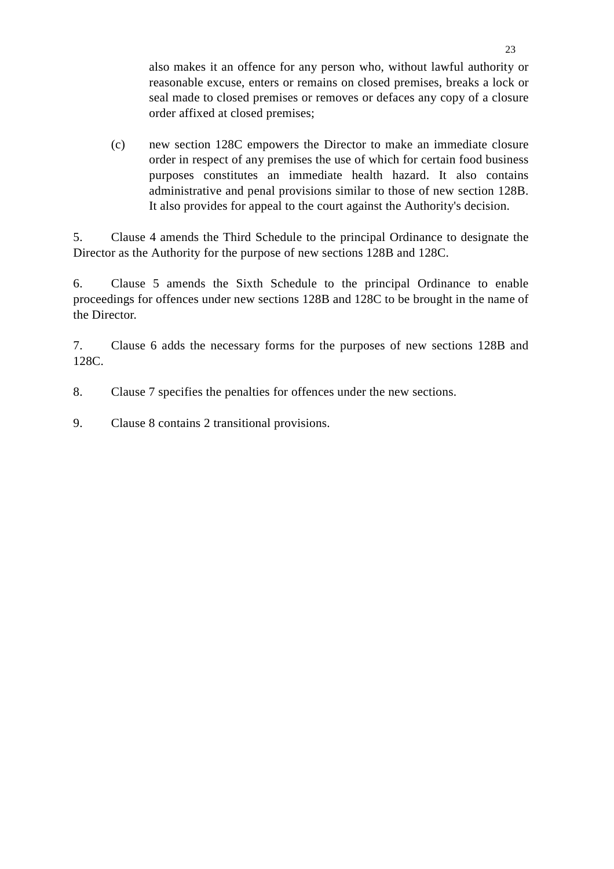also makes it an offence for any person who, without lawful authority or reasonable excuse, enters or remains on closed premises, breaks a lock or seal made to closed premises or removes or defaces any copy of a closure order affixed at closed premises;

(c) new section 128C empowers the Director to make an immediate closure order in respect of any premises the use of which for certain food business purposes constitutes an immediate health hazard. It also contains administrative and penal provisions similar to those of new section 128B. It also provides for appeal to the court against the Authority's decision.

5. Clause 4 amends the Third Schedule to the principal Ordinance to designate the Director as the Authority for the purpose of new sections 128B and 128C.

6. Clause 5 amends the Sixth Schedule to the principal Ordinance to enable proceedings for offences under new sections 128B and 128C to be brought in the name of the Director.

7. Clause 6 adds the necessary forms for the purposes of new sections 128B and 128C.

- 8. Clause 7 specifies the penalties for offences under the new sections.
- 9. Clause 8 contains 2 transitional provisions.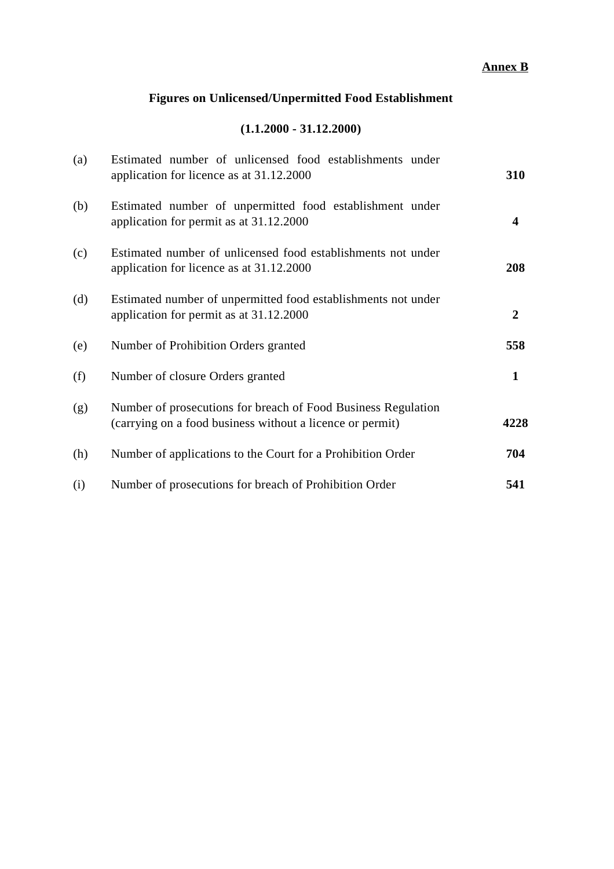# **Annex B**

# **Figures on Unlicensed/Unpermitted Food Establishment**

# **(1.1.2000 - 31.12.2000)**

| (a) | Estimated number of unlicensed food establishments under<br>application for licence as at 31.12.2000                       | 310                     |
|-----|----------------------------------------------------------------------------------------------------------------------------|-------------------------|
| (b) | Estimated number of unpermitted food establishment under<br>application for permit as at 31.12.2000                        | $\overline{\mathbf{4}}$ |
| (c) | Estimated number of unlicensed food establishments not under<br>application for licence as at 31.12.2000                   | 208                     |
| (d) | Estimated number of unpermitted food establishments not under<br>application for permit as at 31.12.2000                   | 2                       |
| (e) | Number of Prohibition Orders granted                                                                                       | 558                     |
| (f) | Number of closure Orders granted                                                                                           | $\mathbf{1}$            |
| (g) | Number of prosecutions for breach of Food Business Regulation<br>(carrying on a food business without a licence or permit) | 4228                    |
| (h) | Number of applications to the Court for a Prohibition Order                                                                | 704                     |
| (i) | Number of prosecutions for breach of Prohibition Order                                                                     | 541                     |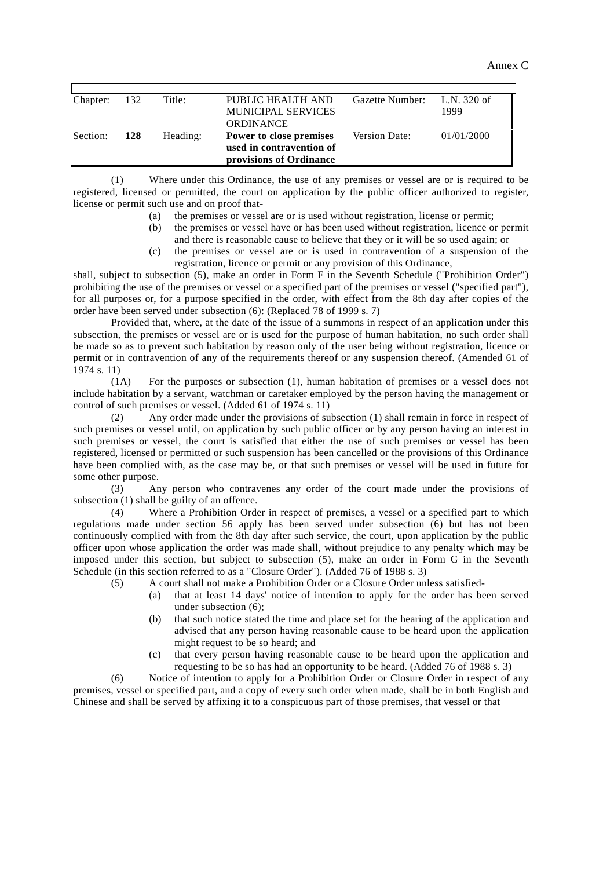Annex C

| Chapter: | 132        | Title:   | PUBLIC HEALTH AND         | Gazette Number: L.N. 320 of |            |
|----------|------------|----------|---------------------------|-----------------------------|------------|
|          |            |          | <b>MUNICIPAL SERVICES</b> |                             | 1999       |
|          |            |          | <b>ORDINANCE</b>          |                             |            |
| Section: | <b>128</b> | Heading: | Power to close premises   | Version Date:               | 01/01/2000 |
|          |            |          | used in contravention of  |                             |            |
|          |            |          | provisions of Ordinance   |                             |            |

(1) Where under this Ordinance, the use of any premises or vessel are or is required to be registered, licensed or permitted, the court on application by the public officer authorized to register, license or permit such use and on proof that-

- (a) the premises or vessel are or is used without registration, license or permit;
- (b) the premises or vessel have or has been used without registration, licence or permit and there is reasonable cause to believe that they or it will be so used again; or
- (c) the premises or vessel are or is used in contravention of a suspension of the registration, licence or permit or any provision of this Ordinance,

shall, subject to subsection (5), make an order in Form F in the Seventh Schedule ("Prohibition Order") prohibiting the use of the premises or vessel or a specified part of the premises or vessel ("specified part"), for all purposes or, for a purpose specified in the order, with effect from the 8th day after copies of the order have been served under subsection (6): (Replaced 78 of 1999 s. 7)

Provided that, where, at the date of the issue of a summons in respect of an application under this subsection, the premises or vessel are or is used for the purpose of human habitation, no such order shall be made so as to prevent such habitation by reason only of the user being without registration, licence or permit or in contravention of any of the requirements thereof or any suspension thereof. (Amended 61 of 1974 s. 11)

(1A) For the purposes or subsection (1), human habitation of premises or a vessel does not include habitation by a servant, watchman or caretaker employed by the person having the management or control of such premises or vessel. (Added 61 of 1974 s. 11)

(2) Any order made under the provisions of subsection (1) shall remain in force in respect of such premises or vessel until, on application by such public officer or by any person having an interest in such premises or vessel, the court is satisfied that either the use of such premises or vessel has been registered, licensed or permitted or such suspension has been cancelled or the provisions of this Ordinance have been complied with, as the case may be, or that such premises or vessel will be used in future for some other purpose.

(3) Any person who contravenes any order of the court made under the provisions of subsection (1) shall be guilty of an offence.

(4) Where a Prohibition Order in respect of premises, a vessel or a specified part to which regulations made under section 56 apply has been served under subsection (6) but has not been continuously complied with from the 8th day after such service, the court, upon application by the public officer upon whose application the order was made shall, without prejudice to any penalty which may be imposed under this section, but subject to subsection (5), make an order in Form G in the Seventh Schedule (in this section referred to as a "Closure Order"). (Added 76 of 1988 s. 3)

(5) A court shall not make a Prohibition Order or a Closure Order unless satisfied-

- (a) that at least 14 days' notice of intention to apply for the order has been served under subsection (6);
- (b) that such notice stated the time and place set for the hearing of the application and advised that any person having reasonable cause to be heard upon the application might request to be so heard; and
- (c) that every person having reasonable cause to be heard upon the application and requesting to be so has had an opportunity to be heard. (Added 76 of 1988 s. 3)

(6) Notice of intention to apply for a Prohibition Order or Closure Order in respect of any premises, vessel or specified part, and a copy of every such order when made, shall be in both English and Chinese and shall be served by affixing it to a conspicuous part of those premises, that vessel or that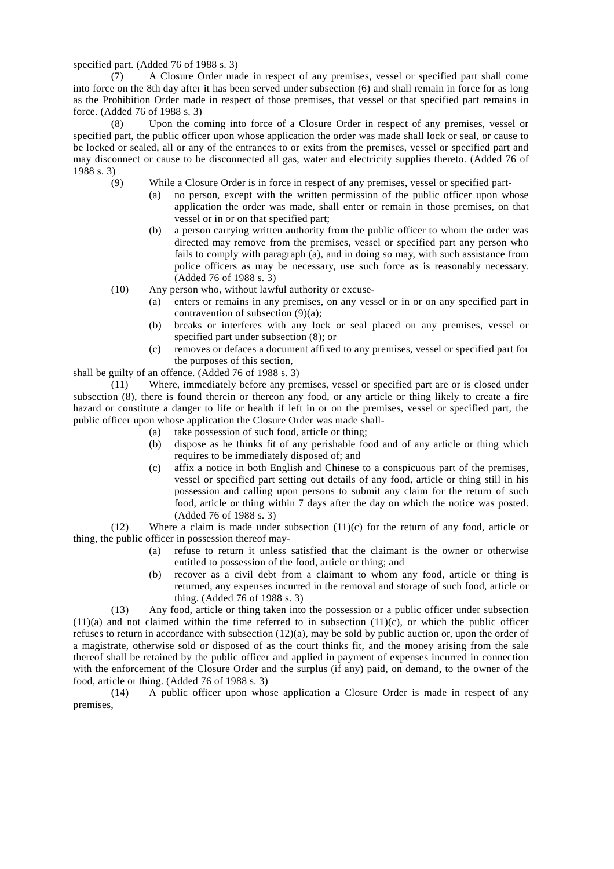specified part. (Added 76 of 1988 s. 3)

(7) A Closure Order made in respect of any premises, vessel or specified part shall come into force on the 8th day after it has been served under subsection (6) and shall remain in force for as long as the Prohibition Order made in respect of those premises, that vessel or that specified part remains in force. (Added 76 of 1988 s. 3)

(8) Upon the coming into force of a Closure Order in respect of any premises, vessel or specified part, the public officer upon whose application the order was made shall lock or seal, or cause to be locked or sealed, all or any of the entrances to or exits from the premises, vessel or specified part and may disconnect or cause to be disconnected all gas, water and electricity supplies thereto. (Added 76 of 1988 s. 3)

- (9) While a Closure Order is in force in respect of any premises, vessel or specified part-
	- (a) no person, except with the written permission of the public officer upon whose application the order was made, shall enter or remain in those premises, on that vessel or in or on that specified part;
	- (b) a person carrying written authority from the public officer to whom the order was directed may remove from the premises, vessel or specified part any person who fails to comply with paragraph (a), and in doing so may, with such assistance from police officers as may be necessary, use such force as is reasonably necessary. (Added 76 of 1988 s. 3)
- (10) Any person who, without lawful authority or excuse-
	- (a) enters or remains in any premises, on any vessel or in or on any specified part in contravention of subsection (9)(a);
	- (b) breaks or interferes with any lock or seal placed on any premises, vessel or specified part under subsection (8); or
	- (c) removes or defaces a document affixed to any premises, vessel or specified part for the purposes of this section,

shall be guilty of an offence. (Added 76 of 1988 s. 3)

(11) Where, immediately before any premises, vessel or specified part are or is closed under subsection (8), there is found therein or thereon any food, or any article or thing likely to create a fire hazard or constitute a danger to life or health if left in or on the premises, vessel or specified part, the public officer upon whose application the Closure Order was made shall-

- (a) take possession of such food, article or thing;
- (b) dispose as he thinks fit of any perishable food and of any article or thing which requires to be immediately disposed of; and
- (c) affix a notice in both English and Chinese to a conspicuous part of the premises, vessel or specified part setting out details of any food, article or thing still in his possession and calling upon persons to submit any claim for the return of such food, article or thing within 7 days after the day on which the notice was posted. (Added 76 of 1988 s. 3)

(12) Where a claim is made under subsection (11)(c) for the return of any food, article or thing, the public officer in possession thereof may-

- (a) refuse to return it unless satisfied that the claimant is the owner or otherwise entitled to possession of the food, article or thing; and
- (b) recover as a civil debt from a claimant to whom any food, article or thing is returned, any expenses incurred in the removal and storage of such food, article or thing. (Added 76 of 1988 s. 3)

(13) Any food, article or thing taken into the possession or a public officer under subsection  $(11)(a)$  and not claimed within the time referred to in subsection  $(11)(c)$ , or which the public officer refuses to return in accordance with subsection (12)(a), may be sold by public auction or, upon the order of a magistrate, otherwise sold or disposed of as the court thinks fit, and the money arising from the sale thereof shall be retained by the public officer and applied in payment of expenses incurred in connection with the enforcement of the Closure Order and the surplus (if any) paid, on demand, to the owner of the food, article or thing. (Added 76 of 1988 s. 3)

(14) A public officer upon whose application a Closure Order is made in respect of any premises,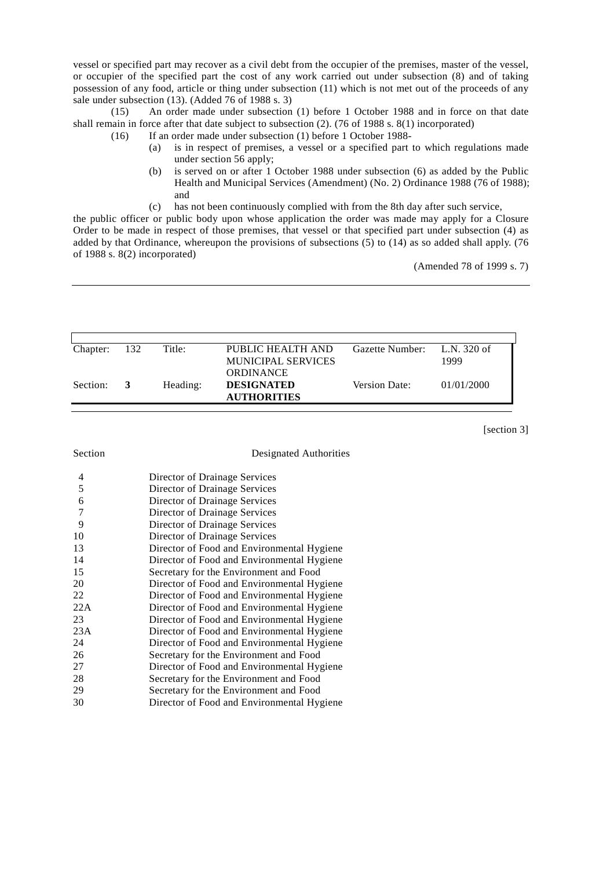vessel or specified part may recover as a civil debt from the occupier of the premises, master of the vessel, or occupier of the specified part the cost of any work carried out under subsection (8) and of taking possession of any food, article or thing under subsection (11) which is not met out of the proceeds of any sale under subsection (13). (Added 76 of 1988 s. 3)

(15) An order made under subsection (1) before 1 October 1988 and in force on that date shall remain in force after that date subject to subsection (2). (76 of 1988 s. 8(1) incorporated)

- (16) If an order made under subsection (1) before 1 October 1988-
	- (a) is in respect of premises, a vessel or a specified part to which regulations made under section 56 apply;
	- (b) is served on or after 1 October 1988 under subsection (6) as added by the Public Health and Municipal Services (Amendment) (No. 2) Ordinance 1988 (76 of 1988); and
	- (c) has not been continuously complied with from the 8th day after such service,

the public officer or public body upon whose application the order was made may apply for a Closure Order to be made in respect of those premises, that vessel or that specified part under subsection (4) as added by that Ordinance, whereupon the provisions of subsections  $(5)$  to  $(14)$  as so added shall apply. (76 of 1988 s. 8(2) incorporated)

(Amended 78 of 1999 s. 7)

| Chapter: | - 132 | Title:   | PUBLIC HEALTH AND  | Gazette Number: L.N. 320 of |            |
|----------|-------|----------|--------------------|-----------------------------|------------|
|          |       |          | MUNICIPAL SERVICES |                             | 1999       |
|          |       |          |                    |                             |            |
|          |       |          | <b>ORDINANCE</b>   |                             |            |
| Section: | - 3   | Heading: | <b>DESIGNATED</b>  | Version Date:               | 01/01/2000 |
|          |       |          | <b>AUTHORITIES</b> |                             |            |

[section 3]

#### Designated Authorities

| 4   | Director of Drainage Services              |
|-----|--------------------------------------------|
| 5   | Director of Drainage Services              |
| 6   | Director of Drainage Services              |
| 7   | Director of Drainage Services              |
| 9   | Director of Drainage Services              |
| 10  | Director of Drainage Services              |
| 13  | Director of Food and Environmental Hygiene |
| 14  | Director of Food and Environmental Hygiene |
| 15  | Secretary for the Environment and Food     |
| 20  | Director of Food and Environmental Hygiene |
| 22  | Director of Food and Environmental Hygiene |
| 22A | Director of Food and Environmental Hygiene |
| 23  | Director of Food and Environmental Hygiene |
| 23A | Director of Food and Environmental Hygiene |
| 24  | Director of Food and Environmental Hygiene |
| 26  | Secretary for the Environment and Food     |
| 27  | Director of Food and Environmental Hygiene |
| 28  | Secretary for the Environment and Food     |
| 29  | Secretary for the Environment and Food     |
| 30  | Director of Food and Environmental Hygiene |
|     |                                            |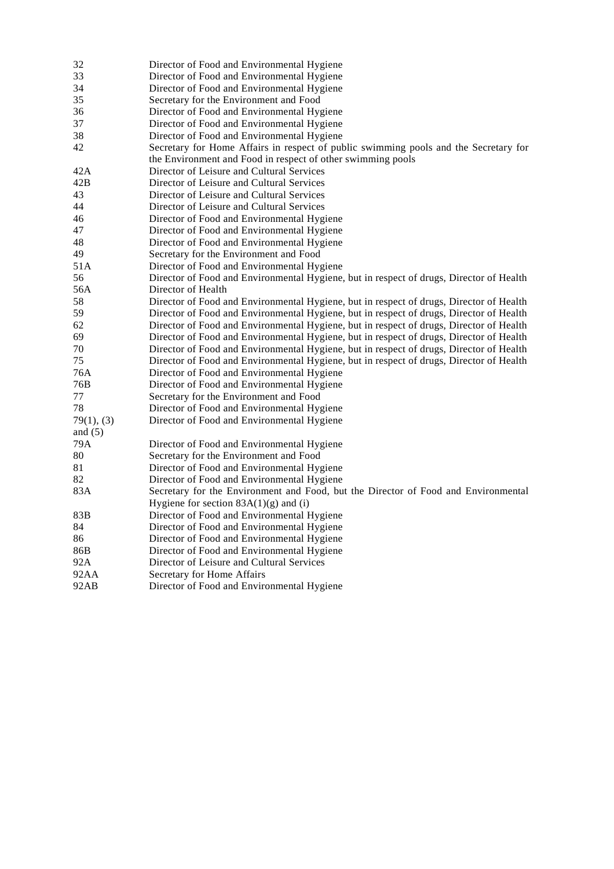| 32         | Director of Food and Environmental Hygiene                                              |
|------------|-----------------------------------------------------------------------------------------|
| 33         | Director of Food and Environmental Hygiene                                              |
| 34         | Director of Food and Environmental Hygiene                                              |
| 35         | Secretary for the Environment and Food                                                  |
| 36         | Director of Food and Environmental Hygiene                                              |
| 37         | Director of Food and Environmental Hygiene                                              |
| 38         | Director of Food and Environmental Hygiene                                              |
| 42         | Secretary for Home Affairs in respect of public swimming pools and the Secretary for    |
|            | the Environment and Food in respect of other swimming pools                             |
| 42A        | Director of Leisure and Cultural Services                                               |
| 42B        | Director of Leisure and Cultural Services                                               |
| 43         | Director of Leisure and Cultural Services                                               |
| 44         | Director of Leisure and Cultural Services                                               |
| 46         | Director of Food and Environmental Hygiene                                              |
| 47         | Director of Food and Environmental Hygiene                                              |
| 48         | Director of Food and Environmental Hygiene                                              |
| 49         | Secretary for the Environment and Food                                                  |
| 51A        | Director of Food and Environmental Hygiene                                              |
| 56         | Director of Food and Environmental Hygiene, but in respect of drugs, Director of Health |
| 56A        | Director of Health                                                                      |
| 58         | Director of Food and Environmental Hygiene, but in respect of drugs, Director of Health |
| 59         | Director of Food and Environmental Hygiene, but in respect of drugs, Director of Health |
| 62         | Director of Food and Environmental Hygiene, but in respect of drugs, Director of Health |
| 69         | Director of Food and Environmental Hygiene, but in respect of drugs, Director of Health |
| 70         | Director of Food and Environmental Hygiene, but in respect of drugs, Director of Health |
| 75         | Director of Food and Environmental Hygiene, but in respect of drugs, Director of Health |
| 76A        | Director of Food and Environmental Hygiene                                              |
| 76B        | Director of Food and Environmental Hygiene                                              |
| 77         | Secretary for the Environment and Food                                                  |
| 78         | Director of Food and Environmental Hygiene                                              |
| 79(1), (3) | Director of Food and Environmental Hygiene                                              |
| and $(5)$  |                                                                                         |
| 79A        | Director of Food and Environmental Hygiene                                              |
| 80         | Secretary for the Environment and Food                                                  |
| 81         | Director of Food and Environmental Hygiene                                              |
| 82         | Director of Food and Environmental Hygiene                                              |
| 83A        | Secretary for the Environment and Food, but the Director of Food and Environmental      |
|            | Hygiene for section $83A(1)(g)$ and (i)                                                 |
| 83B        | Director of Food and Environmental Hygiene                                              |
| 84         | Director of Food and Environmental Hygiene                                              |
| 86         | Director of Food and Environmental Hygiene                                              |
| 86B        | Director of Food and Environmental Hygiene                                              |
| 92A        | Director of Leisure and Cultural Services                                               |
| 92AA       | Secretary for Home Affairs                                                              |
| 92AB       | Director of Food and Environmental Hygiene                                              |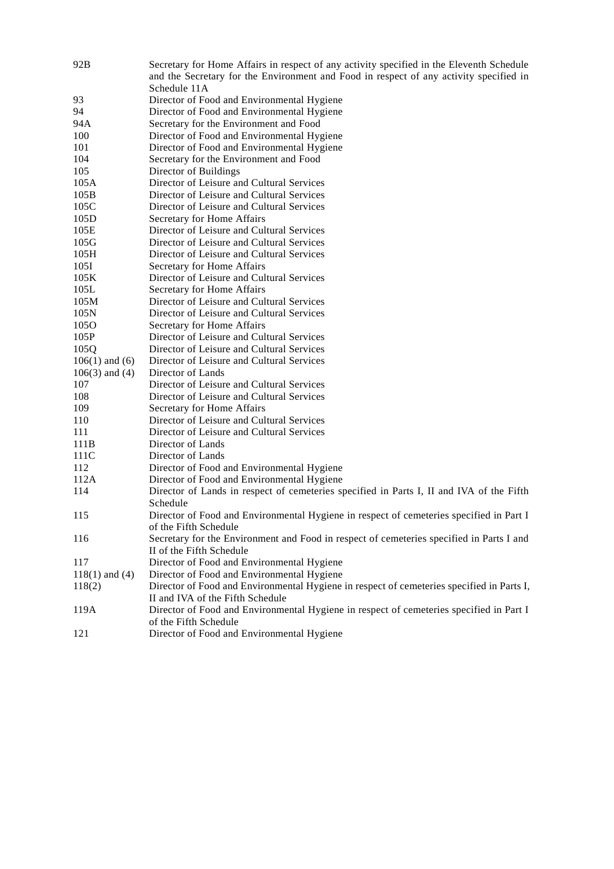| 92B                       | Secretary for Home Affairs in respect of any activity specified in the Eleventh Schedule<br>and the Secretary for the Environment and Food in respect of any activity specified in |
|---------------------------|------------------------------------------------------------------------------------------------------------------------------------------------------------------------------------|
|                           | Schedule 11A                                                                                                                                                                       |
| 93                        | Director of Food and Environmental Hygiene                                                                                                                                         |
| 94                        | Director of Food and Environmental Hygiene                                                                                                                                         |
| 94A<br>100                | Secretary for the Environment and Food                                                                                                                                             |
| 101                       | Director of Food and Environmental Hygiene                                                                                                                                         |
|                           | Director of Food and Environmental Hygiene                                                                                                                                         |
| 104<br>105                | Secretary for the Environment and Food<br>Director of Buildings                                                                                                                    |
| 105A                      | Director of Leisure and Cultural Services                                                                                                                                          |
| 105B                      | Director of Leisure and Cultural Services                                                                                                                                          |
| 105C                      | Director of Leisure and Cultural Services                                                                                                                                          |
|                           |                                                                                                                                                                                    |
| 105D                      | Secretary for Home Affairs<br>Director of Leisure and Cultural Services                                                                                                            |
| 105E                      |                                                                                                                                                                                    |
| 105G                      | Director of Leisure and Cultural Services                                                                                                                                          |
| 105H<br>105I              | Director of Leisure and Cultural Services                                                                                                                                          |
|                           | Secretary for Home Affairs                                                                                                                                                         |
| 105K                      | Director of Leisure and Cultural Services                                                                                                                                          |
| 105L                      | Secretary for Home Affairs                                                                                                                                                         |
| 105M                      | Director of Leisure and Cultural Services                                                                                                                                          |
| 105N<br>105O              | Director of Leisure and Cultural Services                                                                                                                                          |
| 105P                      | Secretary for Home Affairs<br>Director of Leisure and Cultural Services                                                                                                            |
|                           |                                                                                                                                                                                    |
| 105Q                      | Director of Leisure and Cultural Services                                                                                                                                          |
| $106(1)$ and $(6)$        | Director of Leisure and Cultural Services<br>Director of Lands                                                                                                                     |
| $106(3)$ and $(4)$<br>107 | Director of Leisure and Cultural Services                                                                                                                                          |
| 108                       | Director of Leisure and Cultural Services                                                                                                                                          |
| 109                       | Secretary for Home Affairs                                                                                                                                                         |
| 110                       | Director of Leisure and Cultural Services                                                                                                                                          |
| 111                       | Director of Leisure and Cultural Services                                                                                                                                          |
| 111B                      | Director of Lands                                                                                                                                                                  |
| 111C                      | Director of Lands                                                                                                                                                                  |
| 112                       |                                                                                                                                                                                    |
| 112A                      | Director of Food and Environmental Hygiene<br>Director of Food and Environmental Hygiene                                                                                           |
| 114                       |                                                                                                                                                                                    |
|                           | Director of Lands in respect of cemeteries specified in Parts I, II and IVA of the Fifth<br>Schedule                                                                               |
| 115                       |                                                                                                                                                                                    |
|                           | Director of Food and Environmental Hygiene in respect of cemeteries specified in Part I<br>of the Fifth Schedule                                                                   |
| 116                       | Secretary for the Environment and Food in respect of cemeteries specified in Parts I and                                                                                           |
|                           | II of the Fifth Schedule                                                                                                                                                           |
| 117                       | Director of Food and Environmental Hygiene                                                                                                                                         |
| $118(1)$ and $(4)$        | Director of Food and Environmental Hygiene                                                                                                                                         |
| 118(2)                    | Director of Food and Environmental Hygiene in respect of cemeteries specified in Parts I,                                                                                          |
|                           | II and IVA of the Fifth Schedule                                                                                                                                                   |
| 119A                      | Director of Food and Environmental Hygiene in respect of cemeteries specified in Part I                                                                                            |
|                           | of the Fifth Schedule                                                                                                                                                              |
| 121                       | Director of Food and Environmental Hygiene                                                                                                                                         |
|                           |                                                                                                                                                                                    |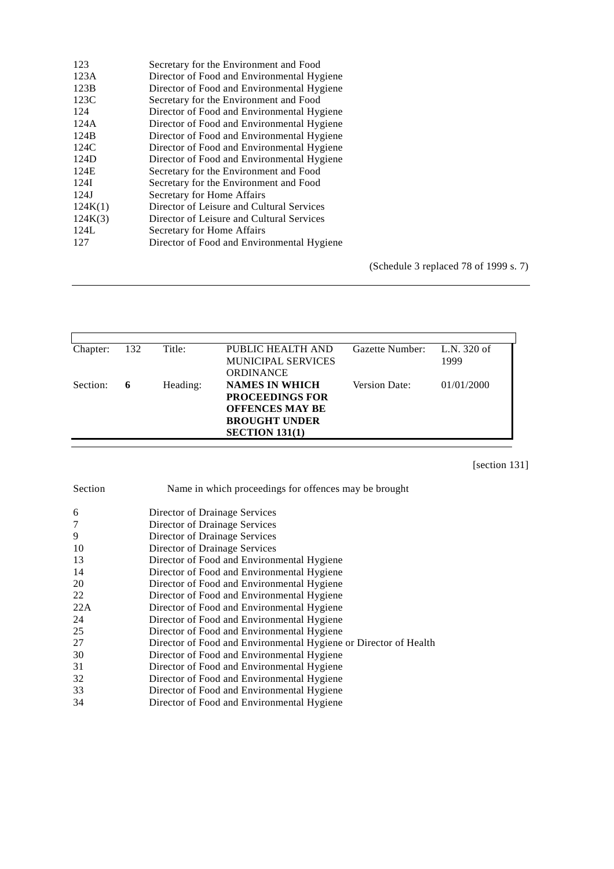| 123     | Secretary for the Environment and Food     |
|---------|--------------------------------------------|
| 123A    | Director of Food and Environmental Hygiene |
| 123B    | Director of Food and Environmental Hygiene |
| 123C    | Secretary for the Environment and Food     |
| 124     | Director of Food and Environmental Hygiene |
| 124A    | Director of Food and Environmental Hygiene |
| 124B    | Director of Food and Environmental Hygiene |
| 124C    | Director of Food and Environmental Hygiene |
| 124D    | Director of Food and Environmental Hygiene |
| 124E    | Secretary for the Environment and Food     |
| 124I    | Secretary for the Environment and Food     |
| 124J    | Secretary for Home Affairs                 |
| 124K(1) | Director of Leisure and Cultural Services  |
| 124K(3) | Director of Leisure and Cultural Services  |
| 124L    | Secretary for Home Affairs                 |
| 127     | Director of Food and Environmental Hygiene |
|         |                                            |

(Schedule 3 replaced 78 of 1999 s. 7)

| Chapter: | 132 | Title:   | PUBLIC HEALTH AND         | Gazette Number: | L.N. 320 of |
|----------|-----|----------|---------------------------|-----------------|-------------|
|          |     |          | <b>MUNICIPAL SERVICES</b> |                 | 1999        |
|          |     |          | <b>ORDINANCE</b>          |                 |             |
| Section: | 6   | Heading: | <b>NAMES IN WHICH</b>     | Version Date:   | 01/01/2000  |
|          |     |          | <b>PROCEEDINGS FOR</b>    |                 |             |
|          |     |          | <b>OFFENCES MAY BE</b>    |                 |             |
|          |     |          | <b>BROUGHT UNDER</b>      |                 |             |
|          |     |          | SECTION 131(1)            |                 |             |

[section 131]

| Section | Name in which proceedings for offences may be brought            |
|---------|------------------------------------------------------------------|
| 6       | Director of Drainage Services                                    |
|         | Director of Drainage Services                                    |
| 9       | Director of Drainage Services                                    |
| 10      | Director of Drainage Services                                    |
| 13      | Director of Food and Environmental Hygiene                       |
| 14      | Director of Food and Environmental Hygiene                       |
| 20      | Director of Food and Environmental Hygiene                       |
| 22      | Director of Food and Environmental Hygiene                       |
| 22A     | Director of Food and Environmental Hygiene                       |
| 24      | Director of Food and Environmental Hygiene                       |
| 25      | Director of Food and Environmental Hygiene                       |
| 27      | Director of Food and Environmental Hygiene or Director of Health |
| 30      | Director of Food and Environmental Hygiene                       |
| 31      | Director of Food and Environmental Hygiene                       |
| 32      | Director of Food and Environmental Hygiene                       |
| 33      | Director of Food and Environmental Hygiene                       |
| 34      | Director of Food and Environmental Hygiene                       |
|         |                                                                  |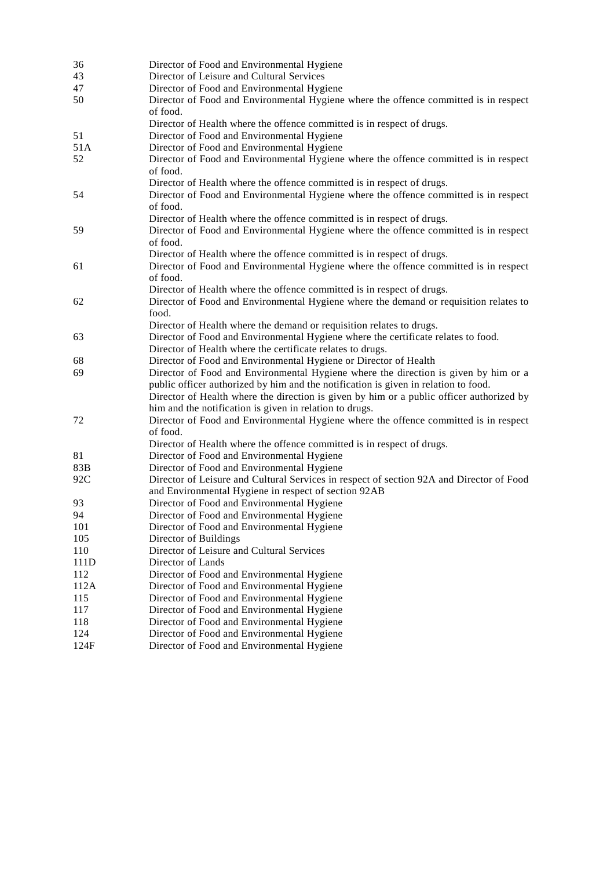| 36   | Director of Food and Environmental Hygiene                                               |
|------|------------------------------------------------------------------------------------------|
| 43   | Director of Leisure and Cultural Services                                                |
| 47   | Director of Food and Environmental Hygiene                                               |
| 50   | Director of Food and Environmental Hygiene where the offence committed is in respect     |
|      | of food.                                                                                 |
|      | Director of Health where the offence committed is in respect of drugs.                   |
| 51   | Director of Food and Environmental Hygiene                                               |
| 51A  | Director of Food and Environmental Hygiene                                               |
| 52   | Director of Food and Environmental Hygiene where the offence committed is in respect     |
|      | of food.                                                                                 |
|      | Director of Health where the offence committed is in respect of drugs.                   |
| 54   | Director of Food and Environmental Hygiene where the offence committed is in respect     |
|      | of food.                                                                                 |
|      | Director of Health where the offence committed is in respect of drugs.                   |
| 59   | Director of Food and Environmental Hygiene where the offence committed is in respect     |
|      | of food.                                                                                 |
|      | Director of Health where the offence committed is in respect of drugs.                   |
| 61   | Director of Food and Environmental Hygiene where the offence committed is in respect     |
|      | of food.                                                                                 |
|      | Director of Health where the offence committed is in respect of drugs.                   |
| 62   | Director of Food and Environmental Hygiene where the demand or requisition relates to    |
|      | food.                                                                                    |
|      | Director of Health where the demand or requisition relates to drugs.                     |
| 63   | Director of Food and Environmental Hygiene where the certificate relates to food.        |
|      | Director of Health where the certificate relates to drugs.                               |
| 68   | Director of Food and Environmental Hygiene or Director of Health                         |
| 69   | Director of Food and Environmental Hygiene where the direction is given by him or a      |
|      | public officer authorized by him and the notification is given in relation to food.      |
|      | Director of Health where the direction is given by him or a public officer authorized by |
|      | him and the notification is given in relation to drugs.                                  |
| 72   | Director of Food and Environmental Hygiene where the offence committed is in respect     |
|      | of food.                                                                                 |
|      | Director of Health where the offence committed is in respect of drugs.                   |
| 81   | Director of Food and Environmental Hygiene                                               |
| 83B  | Director of Food and Environmental Hygiene                                               |
| 92C  | Director of Leisure and Cultural Services in respect of section 92A and Director of Food |
|      | and Environmental Hygiene in respect of section 92AB                                     |
| 93   | Director of Food and Environmental Hygiene                                               |
| 94   | Director of Food and Environmental Hygiene                                               |
| 101  | Director of Food and Environmental Hygiene                                               |
| 105  | Director of Buildings                                                                    |
| 110  | Director of Leisure and Cultural Services                                                |
| 111D | Director of Lands                                                                        |
| 112  | Director of Food and Environmental Hygiene                                               |
| 112A | Director of Food and Environmental Hygiene                                               |
| 115  | Director of Food and Environmental Hygiene                                               |
| 117  | Director of Food and Environmental Hygiene                                               |
| 118  | Director of Food and Environmental Hygiene                                               |
| 124  | Director of Food and Environmental Hygiene                                               |
| 124F | Director of Food and Environmental Hygiene                                               |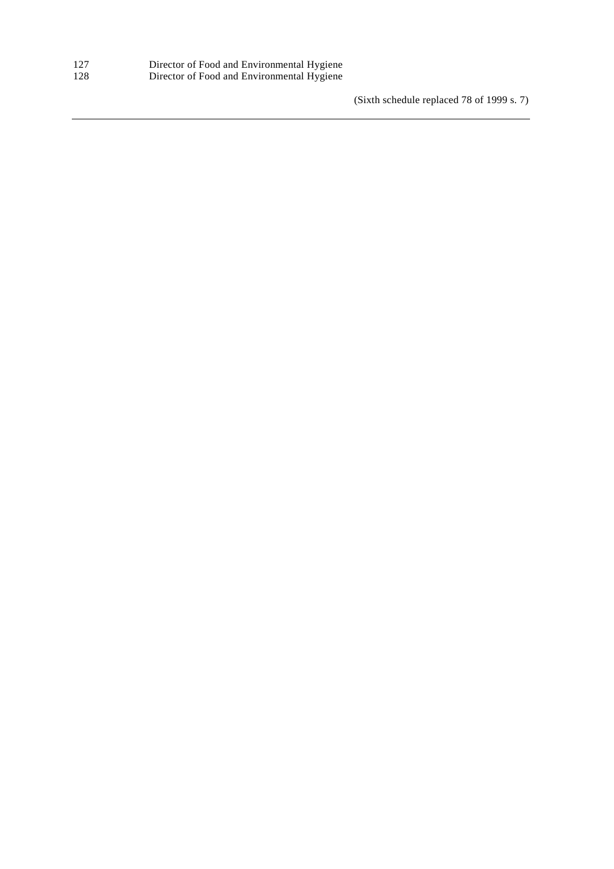| 127 | Director of Food and Environmental Hygiene |  |
|-----|--------------------------------------------|--|
| 128 | Director of Food and Environmental Hygiene |  |

(Sixth schedule replaced 78 of 1999 s. 7)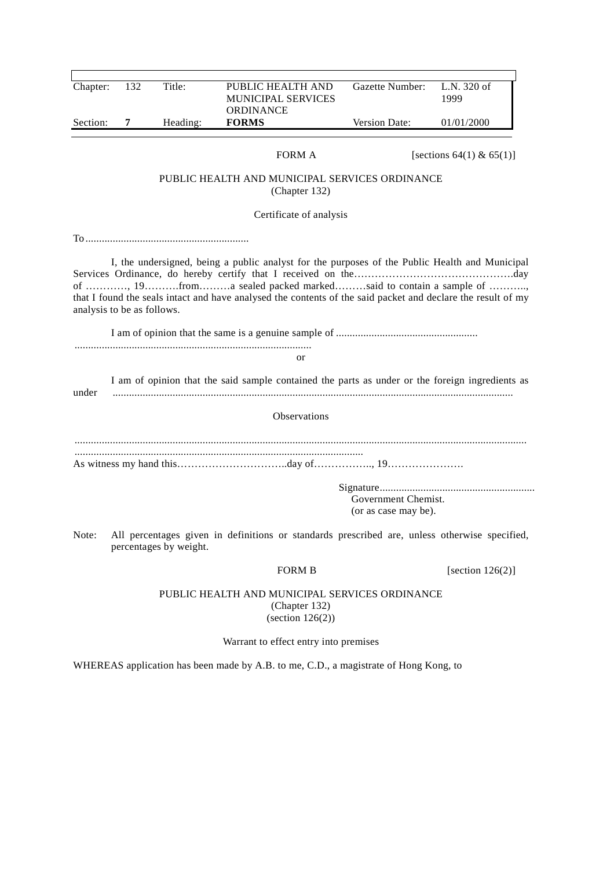| Chapter:                   | 132 | Title:                 | PUBLIC HEALTH AND<br>MUNICIPAL SERVICES                                                                                                                                                                                                                                          | Gazette Number:                             | L.N. 320 of<br>1999      |
|----------------------------|-----|------------------------|----------------------------------------------------------------------------------------------------------------------------------------------------------------------------------------------------------------------------------------------------------------------------------|---------------------------------------------|--------------------------|
| Section:                   | 7   | Heading:               | ORDINANCE<br><b>FORMS</b>                                                                                                                                                                                                                                                        | Version Date:                               | 01/01/2000               |
|                            |     |                        |                                                                                                                                                                                                                                                                                  |                                             |                          |
|                            |     |                        | FORM A                                                                                                                                                                                                                                                                           |                                             | [sections 64(1) & 65(1)] |
|                            |     |                        | PUBLIC HEALTH AND MUNICIPAL SERVICES ORDINANCE<br>(Chapter 132)                                                                                                                                                                                                                  |                                             |                          |
|                            |     |                        | Certificate of analysis                                                                                                                                                                                                                                                          |                                             |                          |
|                            |     |                        |                                                                                                                                                                                                                                                                                  |                                             |                          |
| analysis to be as follows. |     |                        | I, the undersigned, being a public analyst for the purposes of the Public Health and Municipal<br>of , 19froma sealed packed markedsaid to contain a sample of ,<br>that I found the seals intact and have analysed the contents of the said packet and declare the result of my |                                             |                          |
|                            |     |                        |                                                                                                                                                                                                                                                                                  |                                             |                          |
|                            |     |                        |                                                                                                                                                                                                                                                                                  |                                             |                          |
|                            |     |                        | or                                                                                                                                                                                                                                                                               |                                             |                          |
| under                      |     |                        | I am of opinion that the said sample contained the parts as under or the foreign ingredients as                                                                                                                                                                                  |                                             |                          |
|                            |     |                        | Observations                                                                                                                                                                                                                                                                     |                                             |                          |
|                            |     |                        |                                                                                                                                                                                                                                                                                  |                                             |                          |
|                            |     |                        |                                                                                                                                                                                                                                                                                  |                                             |                          |
|                            |     |                        |                                                                                                                                                                                                                                                                                  | Government Chemist.<br>(or as case may be). |                          |
|                            |     | percentages by weight. | Note: All percentages given in definitions or standards prescribed are, unless otherwise specified,                                                                                                                                                                              |                                             |                          |
|                            |     |                        | <b>FORM B</b>                                                                                                                                                                                                                                                                    |                                             | [section $126(2)$ ]      |
|                            |     |                        | PUBLIC HEALTH AND MUNICIPAL SERVICES ORDINANCE<br>(Chapter 132)<br>(section $126(2)$ )                                                                                                                                                                                           |                                             |                          |
|                            |     |                        | Warrant to effect entry into premises                                                                                                                                                                                                                                            |                                             |                          |

WHEREAS application has been made by A.B. to me, C.D., a magistrate of Hong Kong, to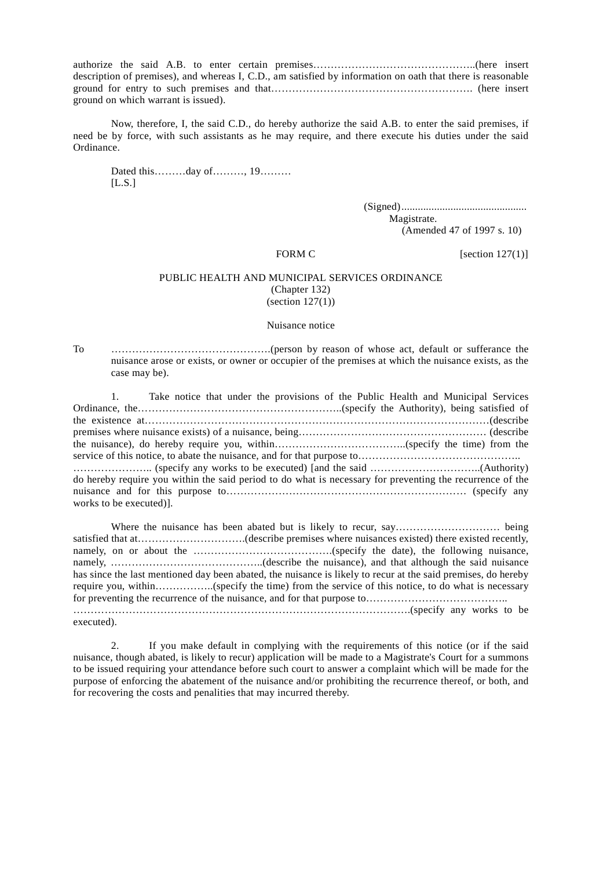authorize the said A.B. to enter certain premises………………………………………..(here insert description of premises), and whereas I, C.D., am satisfied by information on oath that there is reasonable ground for entry to such premises and that…………………………………………………. (here insert ground on which warrant is issued).

Now, therefore, I, the said C.D., do hereby authorize the said A.B. to enter the said premises, if need be by force, with such assistants as he may require, and there execute his duties under the said Ordinance.

Dated this………day of………, 19………  $[$ L.S. $]$ 

> (Signed).............................................. Magistrate. (Amended 47 of 1997 s. 10)

FORM C [section  $127(1)$ ]

#### PUBLIC HEALTH AND MUNICIPAL SERVICES ORDINANCE (Chapter 132)  $\text{(section 127(1))}$

#### Nuisance notice

To ……………………………………….(person by reason of whose act, default or sufferance the nuisance arose or exists, or owner or occupier of the premises at which the nuisance exists, as the case may be).

1. Take notice that under the provisions of the Public Health and Municipal Services Ordinance, the…………………………………………………..(specify the Authority), being satisfied of the existence at………………………………………………………………………………………(describe premises where nuisance exists) of a nuisance, being……………………………………………… (describe the nuisance), do hereby require you, within………………………………..(specify the time) from the service of this notice, to abate the nuisance, and for that purpose to…………………………………………… ………………….. (specify any works to be executed) [and the said …………………………..(Authority) do hereby require you within the said period to do what is necessary for preventing the recurrence of the nuisance and for this purpose to…………………………………………………………… (specify any works to be executed)].

Where the nuisance has been abated but is likely to recur, say………………………… being satisfied that at………………………….(describe premises where nuisances existed) there existed recently, namely, on or about the ………………………………….(specify the date), the following nuisance, namely, ……………………………………..(describe the nuisance), and that although the said nuisance has since the last mentioned day been abated, the nuisance is likely to recur at the said premises, do hereby require you, within……………..(specify the time) from the service of this notice, to do what is necessary for preventing the recurrence of the nuisance, and for that purpose to………………………………….. …………………………………………………………………………………….(specify any works to be executed).

2. If you make default in complying with the requirements of this notice (or if the said nuisance, though abated, is likely to recur) application will be made to a Magistrate's Court for a summons to be issued requiring your attendance before such court to answer a complaint which will be made for the purpose of enforcing the abatement of the nuisance and/or prohibiting the recurrence thereof, or both, and for recovering the costs and penalities that may incurred thereby.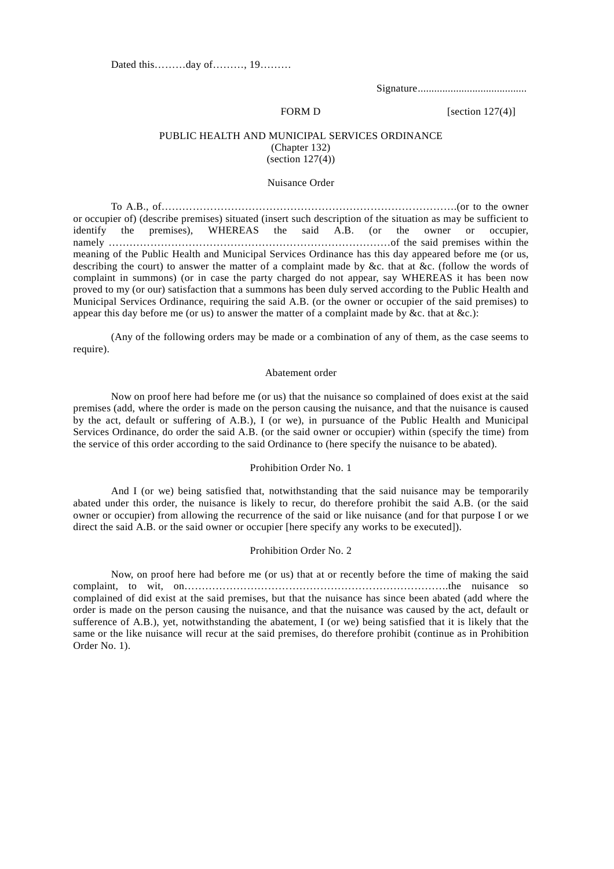Dated this………day of………, 19………

Signature........................................

FORM D [section  $127(4)$ ]

#### PUBLIC HEALTH AND MUNICIPAL SERVICES ORDINANCE (Chapter 132)  $(section 127(4))$

#### Nuisance Order

To A.B., of………………………………………………………………………….(or to the owner or occupier of) (describe premises) situated (insert such description of the situation as may be sufficient to identify the premises), WHEREAS the said A.B. (or the owner or occupier, namely ………………………………………………………………………of the said premises within the meaning of the Public Health and Municipal Services Ordinance has this day appeared before me (or us, describing the court) to answer the matter of a complaint made by &c. that at &c. (follow the words of complaint in summons) (or in case the party charged do not appear, say WHEREAS it has been now proved to my (or our) satisfaction that a summons has been duly served according to the Public Health and Municipal Services Ordinance, requiring the said A.B. (or the owner or occupier of the said premises) to appear this day before me (or us) to answer the matter of a complaint made by &c. that at  $&c$ .):

(Any of the following orders may be made or a combination of any of them, as the case seems to require).

#### Abatement order

Now on proof here had before me (or us) that the nuisance so complained of does exist at the said premises (add, where the order is made on the person causing the nuisance, and that the nuisance is caused by the act, default or suffering of A.B.), I (or we), in pursuance of the Public Health and Municipal Services Ordinance, do order the said A.B. (or the said owner or occupier) within (specify the time) from the service of this order according to the said Ordinance to (here specify the nuisance to be abated).

#### Prohibition Order No. 1

And I (or we) being satisfied that, notwithstanding that the said nuisance may be temporarily abated under this order, the nuisance is likely to recur, do therefore prohibit the said A.B. (or the said owner or occupier) from allowing the recurrence of the said or like nuisance (and for that purpose I or we direct the said A.B. or the said owner or occupier [here specify any works to be executed]).

#### Prohibition Order No. 2

Now, on proof here had before me (or us) that at or recently before the time of making the said complaint, to wit, on………………………………………………………………….the nuisance so complained of did exist at the said premises, but that the nuisance has since been abated (add where the order is made on the person causing the nuisance, and that the nuisance was caused by the act, default or sufference of A.B.), yet, notwithstanding the abatement, I (or we) being satisfied that it is likely that the same or the like nuisance will recur at the said premises, do therefore prohibit (continue as in Prohibition Order No. 1).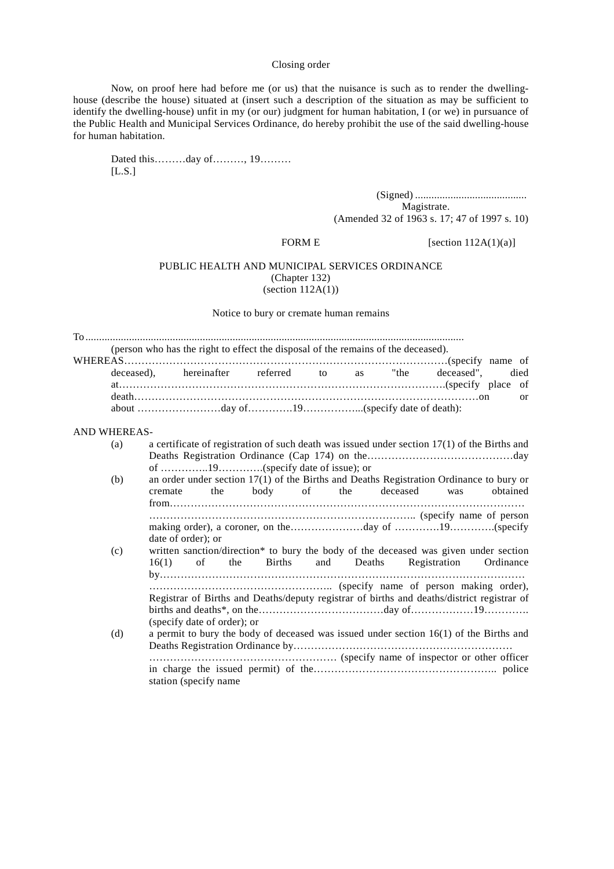#### Closing order

Now, on proof here had before me (or us) that the nuisance is such as to render the dwellinghouse (describe the house) situated at (insert such a description of the situation as may be sufficient to identify the dwelling-house) unfit in my (or our) judgment for human habitation, I (or we) in pursuance of the Public Health and Municipal Services Ordinance, do hereby prohibit the use of the said dwelling-house for human habitation.

Dated this………day of………, 19………  $[L.S.]$ 

> (Signed) ......................................... Magistrate. (Amended 32 of 1963 s. 17; 47 of 1997 s. 10)

FORM E [section  $112A(1)(a)$ ]

#### PUBLIC HEALTH AND MUNICIPAL SERVICES ORDINANCE (Chapter 132)  $(section 112A(1))$

Notice to bury or cremate human remains

To ........................................................................................................................................... (person who has the right to effect the disposal of the remains of the deceased). WHEREAS…………………………………………………………………………………(specify name of deceased), hereinafter referred to as "the deceased", died at………………………………………………………………………………….(specify place of death………………………………………………………………………………………on or about ……………………day of………….19……………...(specify date of death): AND WHEREAS- (a) a certificate of registration of such death was issued under section 17(1) of the Births and Deaths Registration Ordinance (Cap 174) on the……………………………………day of …………..19………….(specify date of issue); or (b) an order under section 17(1) of the Births and Deaths Registration Ordinance to bury or cremate the body of the deceased was obtained from………………………………………………………………………………………… ………………………………………………………………….. (specify name of person making order), a coroner, on the…………………day of ………….19………….(specify date of order); or (c) written sanction/direction\* to bury the body of the deceased was given under section 16(1) of the Births and Deaths Registration Ordinance by…………………………………………………………………………………………… …………………………………………….. (specify name of person making order), Registrar of Births and Deaths/deputy registrar of births and deaths/district registrar of births and deaths\*, on the………………………………day of………………19…………. (specify date of order); or (d) a permit to bury the body of deceased was issued under section 16(1) of the Births and Deaths Registration Ordinance by……………………………………………………… ……………………………………………… (specify name of inspector or other officer in charge the issued permit) of the…………………………………………….. police station (specify name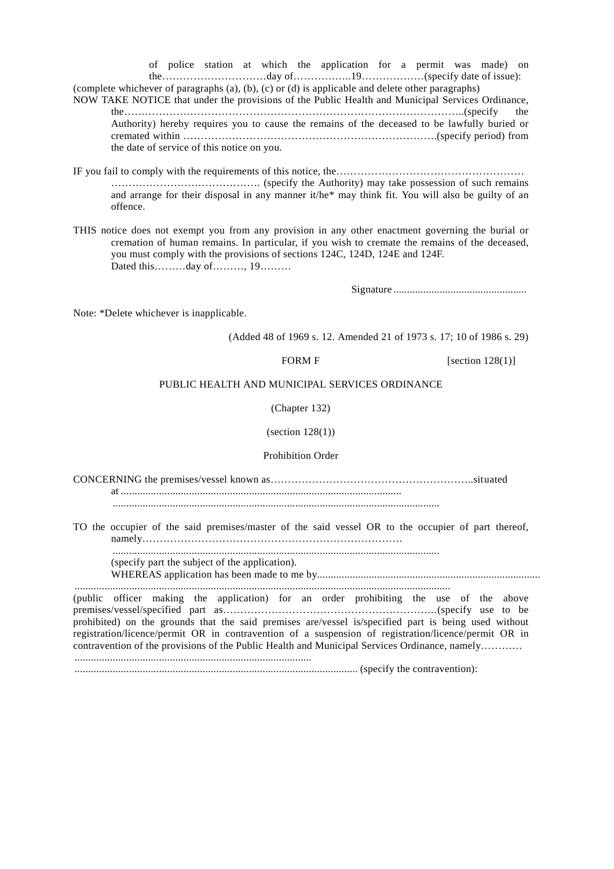of police station at which the application for a permit was made) on the…………………………day of……………..19………………(specify date of issue):

(complete whichever of paragraphs (a), (b), (c) or (d) is applicable and delete other paragraphs) NOW TAKE NOTICE that under the provisions of the Public Health and Municipal Services Ordinance, the……………………………………………………………………………………..(specify the Authority) hereby requires you to cause the remains of the deceased to be lawfully buried or cremated within ……………………………………………………………….(specify period) from the date of service of this notice on you.

IF you fail to comply with the requirements of this notice, the……………………………………………… ……………………………………. (specify the Authority) may take possession of such remains and arrange for their disposal in any manner it/he\* may think fit. You will also be guilty of an offence.

THIS notice does not exempt you from any provision in any other enactment governing the burial or cremation of human remains. In particular, if you wish to cremate the remains of the deceased, you must comply with the provisions of sections 124C, 124D, 124E and 124F. Dated this………day of………, 19………

Signature .................................................

Note: \*Delete whichever is inapplicable.

(Added 48 of 1969 s. 12. Amended 21 of 1973 s. 17; 10 of 1986 s. 29)

FORM F  $[section 128(1)]$ 

#### PUBLIC HEALTH AND MUNICIPAL SERVICES ORDINANCE

(Chapter 132)

(section 128(1))

Prohibition Order

CONCERNING the premises/vessel known as…………………………………………………..situated at .......................................................................................................

........................................................................................................................

TO the occupier of the said premises/master of the said vessel OR to the occupier of part thereof, namely…………………………………………………………………

........................................................................................................................

(specify part the subject of the application).

WHEREAS application has been made to me by.................................................................................. ..........................................................................................................................................

(public officer making the application) for an order prohibiting the use of the above premises/vessel/specified part as……………………………………………………..(specify use to be prohibited) on the grounds that the said premises are/vessel is/specified part is being used without registration/licence/permit OR in contravention of a suspension of registration/licence/permit OR in contravention of the provisions of the Public Health and Municipal Services Ordinance, namely………… .......................................................................................

........................................................................................................ (specify the contravention):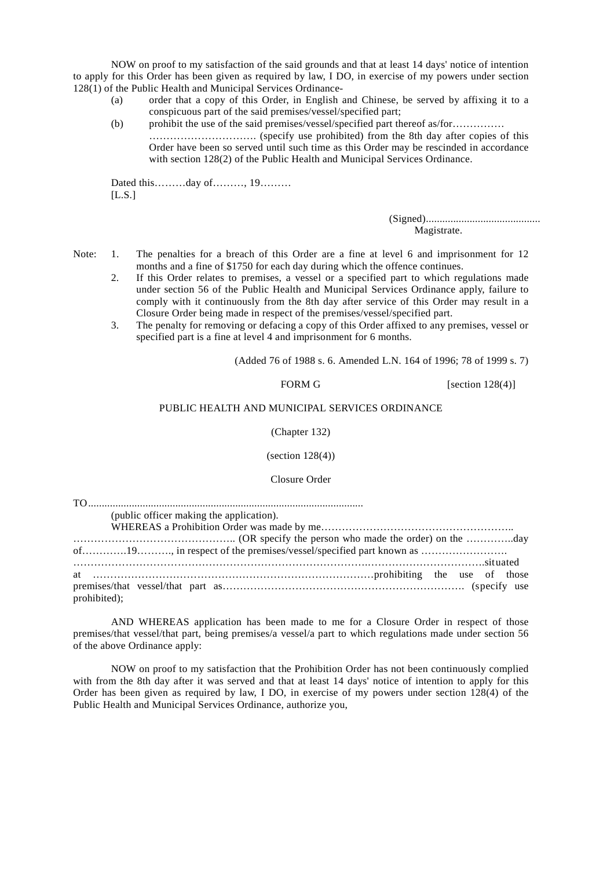NOW on proof to my satisfaction of the said grounds and that at least 14 days' notice of intention to apply for this Order has been given as required by law, I DO, in exercise of my powers under section 128(1) of the Public Health and Municipal Services Ordinance-

- (a) order that a copy of this Order, in English and Chinese, be served by affixing it to a conspicuous part of the said premises/vessel/specified part;
- (b) prohibit the use of the said premises/vessel/specified part thereof as/for…………… …………………………. (specify use prohibited) from the 8th day after copies of this Order have been so served until such time as this Order may be rescinded in accordance with section 128(2) of the Public Health and Municipal Services Ordinance.

Dated this………day of………, 19………  $[$ L.S. $]$ 

> (Signed).......................................... Magistrate.

- Note: 1. The penalties for a breach of this Order are a fine at level 6 and imprisonment for 12 months and a fine of \$1750 for each day during which the offence continues.
	- 2. If this Order relates to premises, a vessel or a specified part to which regulations made under section 56 of the Public Health and Municipal Services Ordinance apply, failure to comply with it continuously from the 8th day after service of this Order may result in a Closure Order being made in respect of the premises/vessel/specified part.
	- 3. The penalty for removing or defacing a copy of this Order affixed to any premises, vessel or specified part is a fine at level 4 and imprisonment for 6 months.

(Added 76 of 1988 s. 6. Amended L.N. 164 of 1996; 78 of 1999 s. 7)

#### FORM G  $[section 128(4)]$

#### PUBLIC HEALTH AND MUNICIPAL SERVICES ORDINANCE

#### (Chapter 132)

(section 128(4))

Closure Order

| (public officer making the application). |  |
|------------------------------------------|--|
|                                          |  |
|                                          |  |
|                                          |  |
|                                          |  |
|                                          |  |
|                                          |  |
| prohibited);                             |  |

AND WHEREAS application has been made to me for a Closure Order in respect of those premises/that vessel/that part, being premises/a vessel/a part to which regulations made under section 56 of the above Ordinance apply:

NOW on proof to my satisfaction that the Prohibition Order has not been continuously complied with from the 8th day after it was served and that at least 14 days' notice of intention to apply for this Order has been given as required by law, I DO, in exercise of my powers under section 128(4) of the Public Health and Municipal Services Ordinance, authorize you,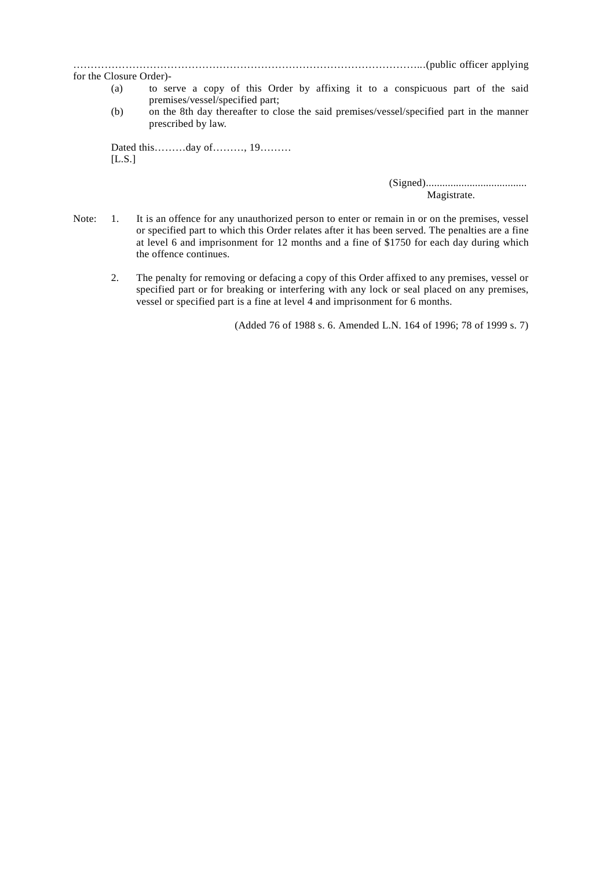#### ………………………………………………………………………………………...(public officer applying

- for the Closure Order)-
	- (a) to serve a copy of this Order by affixing it to a conspicuous part of the said premises/vessel/specified part;
	- (b) on the 8th day thereafter to close the said premises/vessel/specified part in the manner prescribed by law.

Dated this………day of………, 19………  $[LL.S.]$ 

> (Signed)..................................... Magistrate.

- Note: 1. It is an offence for any unauthorized person to enter or remain in or on the premises, vessel or specified part to which this Order relates after it has been served. The penalties are a fine at level 6 and imprisonment for 12 months and a fine of \$1750 for each day during which the offence continues.
	- 2. The penalty for removing or defacing a copy of this Order affixed to any premises, vessel or specified part or for breaking or interfering with any lock or seal placed on any premises, vessel or specified part is a fine at level 4 and imprisonment for 6 months.

(Added 76 of 1988 s. 6. Amended L.N. 164 of 1996; 78 of 1999 s. 7)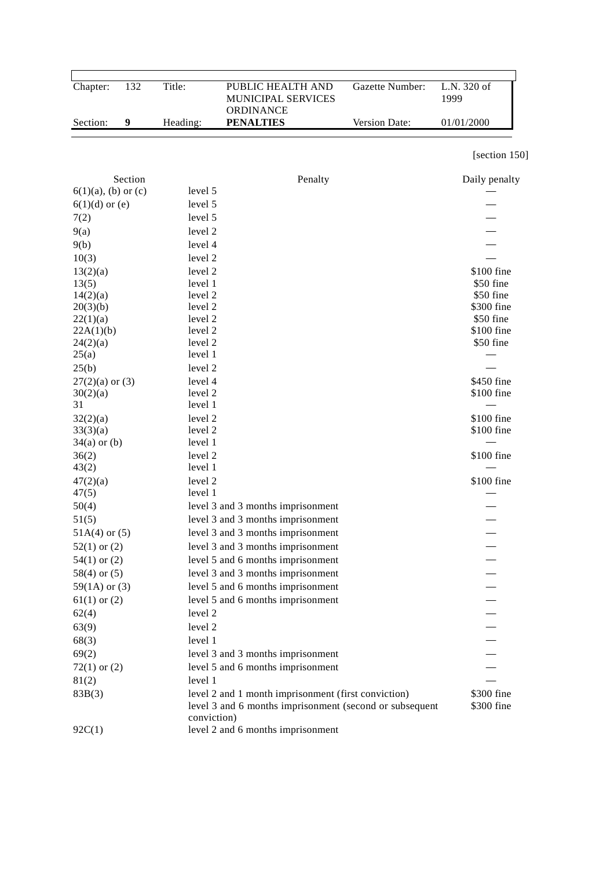| Chapter:               | 132     | Title:             | PUBLIC HEALTH AND<br>MUNICIPAL SERVICES                                                                        | Gazette Number: | L.N. 320 of<br>1999      |
|------------------------|---------|--------------------|----------------------------------------------------------------------------------------------------------------|-----------------|--------------------------|
| Section:               | 9       | Heading:           | ORDINANCE<br><b>PENALTIES</b>                                                                                  | Version Date:   | 01/01/2000               |
|                        |         |                    |                                                                                                                |                 | [section 150]            |
|                        | Section |                    | Penalty                                                                                                        |                 | Daily penalty            |
| $6(1)(a)$ , (b) or (c) |         | level 5            |                                                                                                                |                 |                          |
| $6(1)(d)$ or (e)       |         | level 5            |                                                                                                                |                 |                          |
| 7(2)                   |         | level 5            |                                                                                                                |                 |                          |
| 9(a)                   |         | level 2            |                                                                                                                |                 |                          |
| 9(b)                   |         | level 4            |                                                                                                                |                 |                          |
| 10(3)                  |         | level 2            |                                                                                                                |                 |                          |
| 13(2)(a)               |         | level 2            |                                                                                                                |                 | \$100 fine               |
| 13(5)                  |         | level 1            |                                                                                                                |                 | \$50 fine                |
| 14(2)(a)               |         | level 2            |                                                                                                                |                 | \$50 fine                |
| 20(3)(b)               |         | level 2            |                                                                                                                |                 | \$300 fine               |
| 22(1)(a)               |         | level 2            |                                                                                                                |                 | \$50 fine                |
| 22A(1)(b)              |         | level 2            |                                                                                                                |                 | \$100 fine               |
| 24(2)(a)               |         | level 2            |                                                                                                                |                 | \$50 fine                |
| 25(a)                  |         | level 1            |                                                                                                                |                 |                          |
| 25(b)                  |         | level 2            |                                                                                                                |                 |                          |
| $27(2)(a)$ or $(3)$    |         | level 4            |                                                                                                                |                 | \$450 fine               |
| 30(2)(a)<br>31         |         | level 2<br>level 1 |                                                                                                                |                 | \$100 fine               |
| 32(2)(a)               |         | level 2            |                                                                                                                |                 | \$100 fine               |
| 33(3)(a)               |         | level 2            |                                                                                                                |                 | \$100 fine               |
| $34(a)$ or $(b)$       |         | level 1            |                                                                                                                |                 |                          |
| 36(2)                  |         | level 2            |                                                                                                                |                 | \$100 fine               |
| 43(2)                  |         | level 1            |                                                                                                                |                 |                          |
| 47(2)(a)               |         | level 2            |                                                                                                                |                 | \$100 fine               |
| 47(5)                  |         | level 1            |                                                                                                                |                 |                          |
| 50(4)                  |         |                    | level 3 and 3 months imprisonment                                                                              |                 |                          |
| 51(5)                  |         |                    | level 3 and 3 months imprisonment                                                                              |                 |                          |
| $51A(4)$ or $(5)$      |         |                    | level 3 and 3 months imprisonment                                                                              |                 |                          |
| $52(1)$ or $(2)$       |         |                    | level 3 and 3 months imprisonment                                                                              |                 |                          |
| $54(1)$ or $(2)$       |         |                    | level 5 and 6 months imprisonment                                                                              |                 |                          |
| $58(4)$ or $(5)$       |         |                    | level 3 and 3 months imprisonment                                                                              |                 |                          |
| $59(1A)$ or $(3)$      |         |                    | level 5 and 6 months imprisonment                                                                              |                 |                          |
| $61(1)$ or $(2)$       |         |                    | level 5 and 6 months imprisonment                                                                              |                 |                          |
| 62(4)                  |         | level 2            |                                                                                                                |                 |                          |
| 63(9)                  |         | level 2            |                                                                                                                |                 |                          |
| 68(3)                  |         | level 1            |                                                                                                                |                 |                          |
| 69(2)                  |         |                    | level 3 and 3 months imprisonment                                                                              |                 |                          |
| $72(1)$ or $(2)$       |         |                    | level 5 and 6 months imprisonment                                                                              |                 |                          |
| 81(2)                  |         | level 1            |                                                                                                                |                 |                          |
| 83B(3)                 |         | conviction)        | level 2 and 1 month imprisonment (first conviction)<br>level 3 and 6 months imprisonment (second or subsequent |                 | \$300 fine<br>\$300 fine |
| 92C(1)                 |         |                    | level 2 and 6 months imprisonment                                                                              |                 |                          |